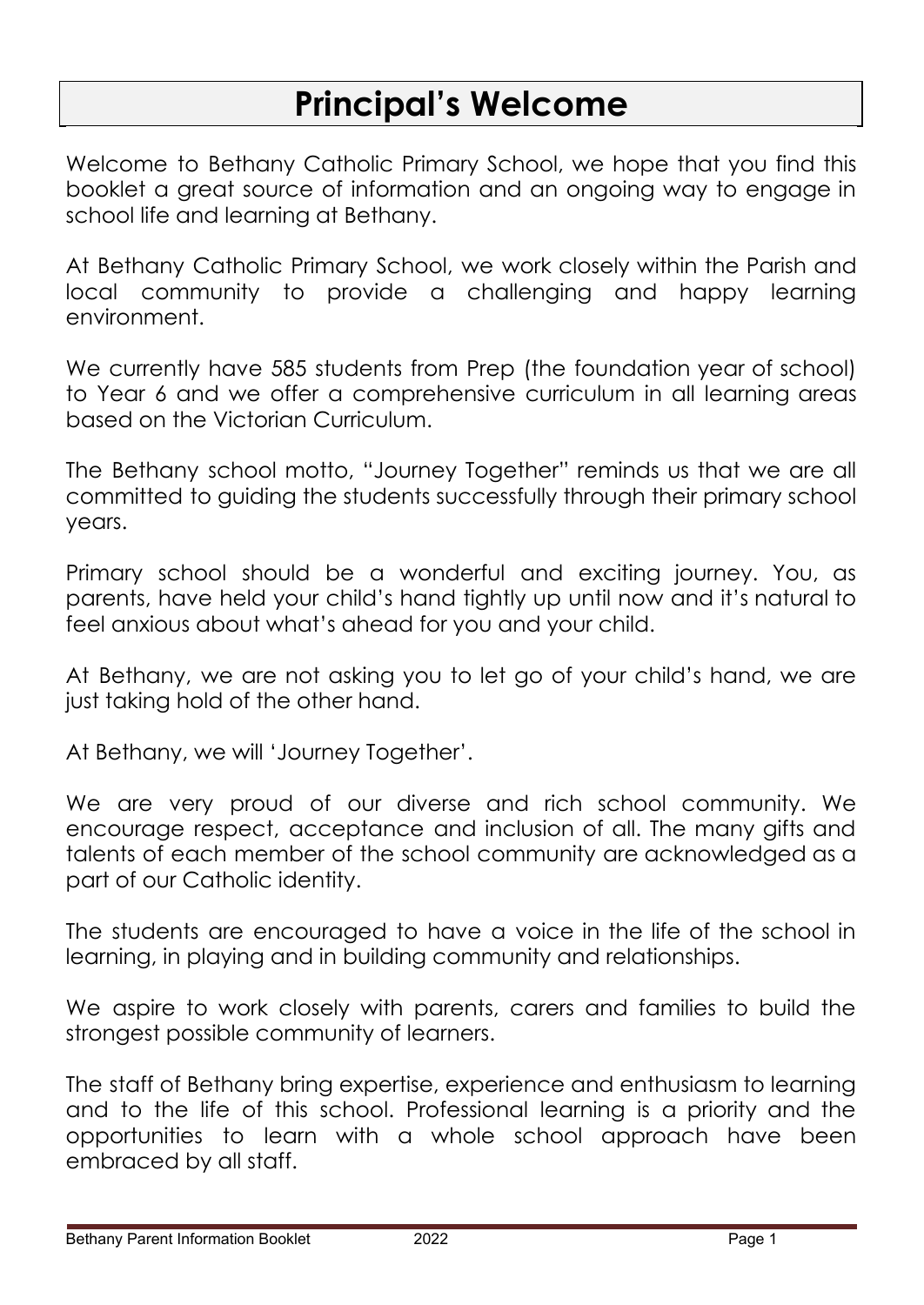# **Principal's Welcome**

Welcome to Bethany Catholic Primary School, we hope that you find this booklet a great source of information and an ongoing way to engage in school life and learning at Bethany.

At Bethany Catholic Primary School, we work closely within the Parish and local community to provide a challenging and happy learning environment.

We currently have 585 students from Prep (the foundation year of school) to Year 6 and we offer a comprehensive curriculum in all learning areas based on the Victorian Curriculum.

The Bethany school motto, "Journey Together" reminds us that we are all committed to guiding the students successfully through their primary school years.

Primary school should be a wonderful and exciting journey. You, as parents, have held your child's hand tightly up until now and it's natural to feel anxious about what's ahead for you and your child.

At Bethany, we are not asking you to let go of your child's hand, we are just taking hold of the other hand.

At Bethany, we will 'Journey Together'.

We are very proud of our diverse and rich school community. We encourage respect, acceptance and inclusion of all. The many gifts and talents of each member of the school community are acknowledged as a part of our Catholic identity.

The students are encouraged to have a voice in the life of the school in learning, in playing and in building community and relationships.

We aspire to work closely with parents, carers and families to build the strongest possible community of learners.

The staff of Bethany bring expertise, experience and enthusiasm to learning and to the life of this school. Professional learning is a priority and the opportunities to learn with a whole school approach have been embraced by all staff.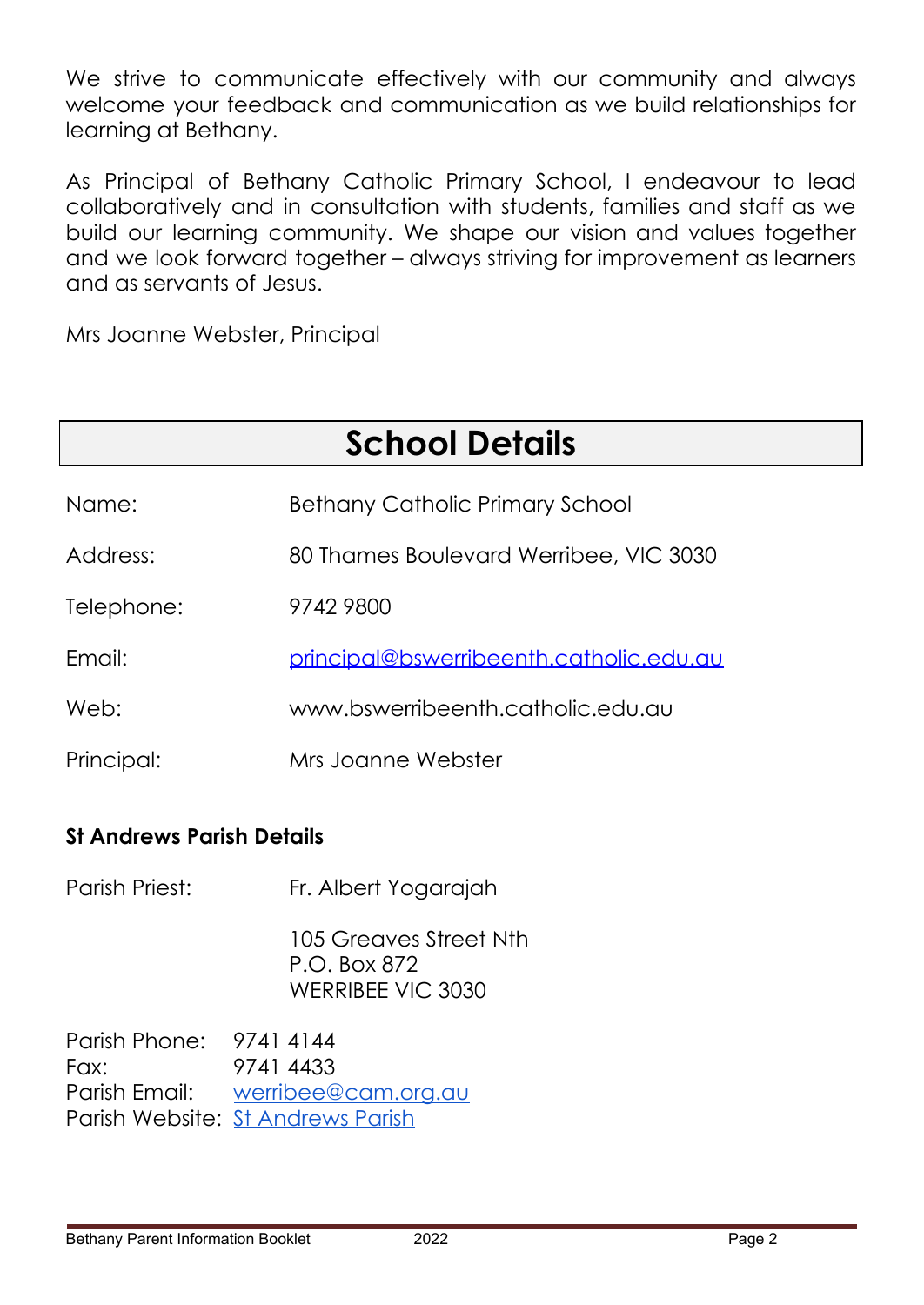We strive to communicate effectively with our community and always welcome your feedback and communication as we build relationships for learning at Bethany.

As Principal of Bethany Catholic Primary School, I endeavour to lead collaboratively and in consultation with students, families and staff as we build our learning community. We shape our vision and values together and we look forward together – always striving for improvement as learners and as servants of Jesus.

Mrs Joanne Webster, Principal

| <b>School Details</b> |                                                |  |  |
|-----------------------|------------------------------------------------|--|--|
| Name:                 | <b>Bethany Catholic Primary School</b>         |  |  |
| Address:              | 80 Thames Boulevard Werribee, VIC 3030         |  |  |
| Telephone:            | 9742 9800                                      |  |  |
| Email:                | <u>principal@bswerribeenth.catholic.edu.au</u> |  |  |
| Web:                  | www.bswerribeenth.catholic.edu.au              |  |  |
| Principal:            | Mrs Joanne Webster                             |  |  |

### **St Andrews Parish Details**

Parish Priest: Fr. Albert Yogarajah

105 Greaves Street Nth P.O. Box 872 WERRIBEE VIC 3030

Parish Phone: 9741 4144 Fax: 9741 4433 Parish Email: [werribee@cam.org.au](mailto:werribee@cam.org.au) Parish Website: St [Andrews](http://www.standrewswerribee.org.au) Parish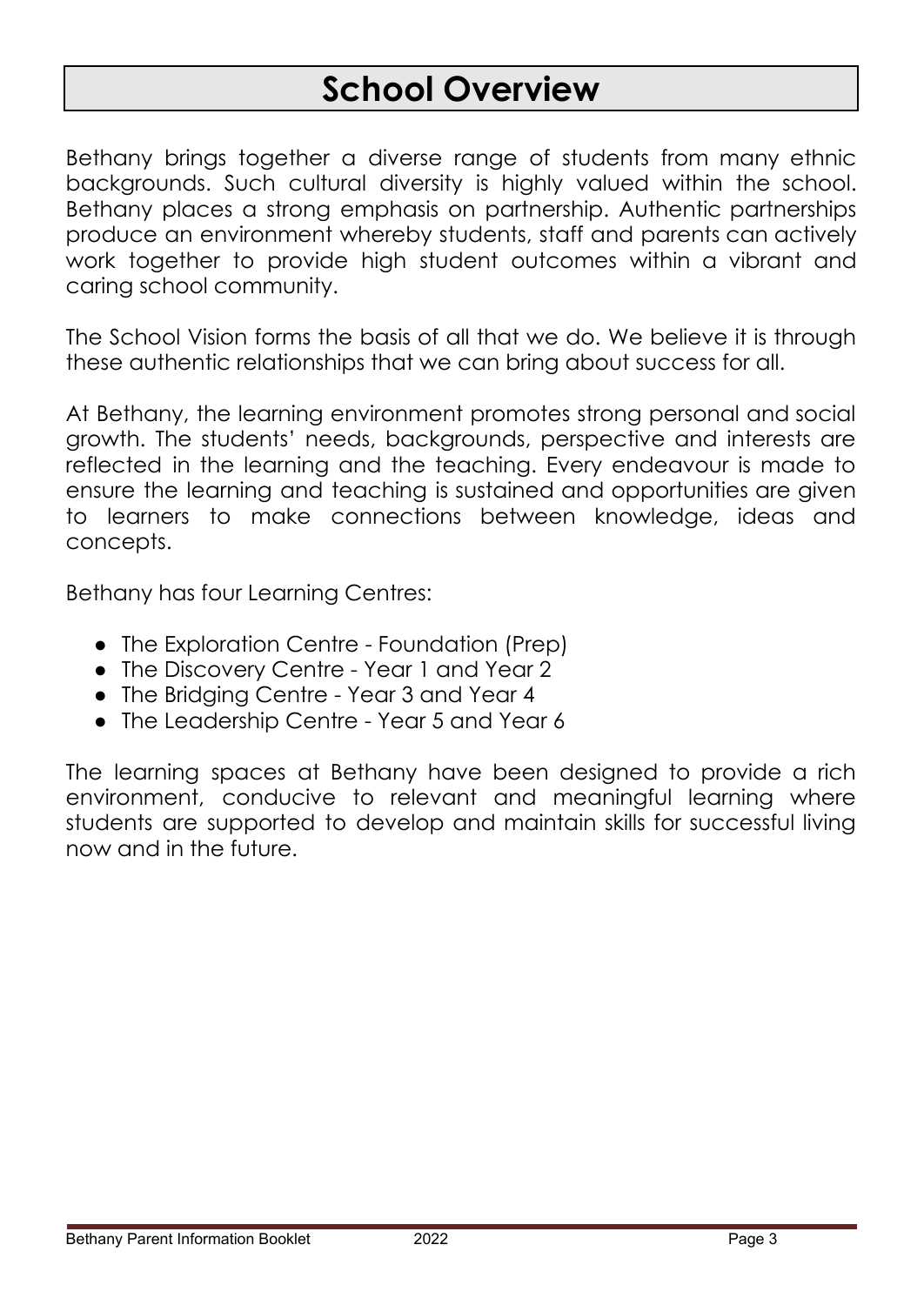# **School Overview**

Bethany brings together a diverse range of students from many ethnic backgrounds. Such cultural diversity is highly valued within the school. Bethany places a strong emphasis on partnership. Authentic partnerships produce an environment whereby students, staff and parents can actively work together to provide high student outcomes within a vibrant and caring school community.

The School Vision forms the basis of all that we do. We believe it is through these authentic relationships that we can bring about success for all.

At Bethany, the learning environment promotes strong personal and social growth. The students' needs, backgrounds, perspective and interests are reflected in the learning and the teaching. Every endeavour is made to ensure the learning and teaching is sustained and opportunities are given to learners to make connections between knowledge, ideas and concepts.

Bethany has four Learning Centres:

- The Exploration Centre Foundation (Prep)
- The Discovery Centre Year 1 and Year 2
- The Bridging Centre Year 3 and Year 4
- The Leadership Centre Year 5 and Year 6

The learning spaces at Bethany have been designed to provide a rich environment, conducive to relevant and meaningful learning where students are supported to develop and maintain skills for successful living now and in the future.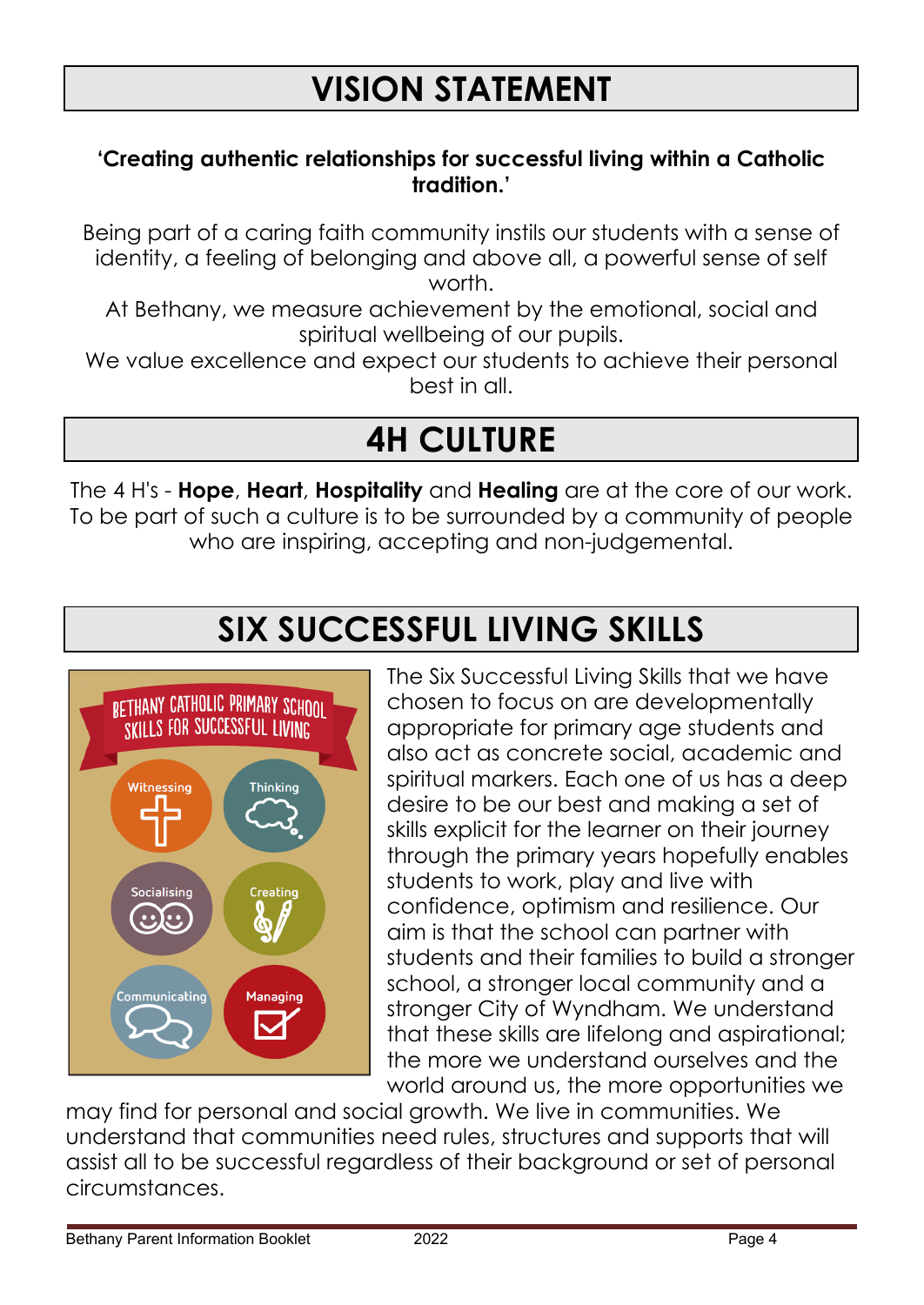#### **'Creating authentic relationships for successful living within a Catholic tradition.'**

Being part of a caring faith community instils our students with a sense of identity, a feeling of belonging and above all, a powerful sense of self worth.

At Bethany, we measure achievement by the emotional, social and spiritual wellbeing of our pupils.

We value excellence and expect our students to achieve their personal best in all.

# **4H CULTURE**

The 4 H's - **Hope**, **Heart**, **Hospitality** and **Healing** are at the core of our work. To be part of such a culture is to be surrounded by a community of people who are inspiring, accepting and non-judgemental.

# **SIX SUCCESSFUL LIVING SKILLS**



The Six Successful Living Skills that we have chosen to focus on are developmentally appropriate for primary age students and also act as concrete social, academic and spiritual markers. Each one of us has a deep desire to be our best and making a set of skills explicit for the learner on their journey through the primary years hopefully enables students to work, play and live with confidence, optimism and resilience. Our aim is that the school can partner with students and their families to build a stronger school, a stronger local community and a stronger City of Wyndham. We understand that these skills are lifelong and aspirational; the more we understand ourselves and the world around us, the more opportunities we

may find for personal and social growth. We live in communities. We understand that communities need rules, structures and supports that will assist all to be successful regardless of their background or set of personal circumstances.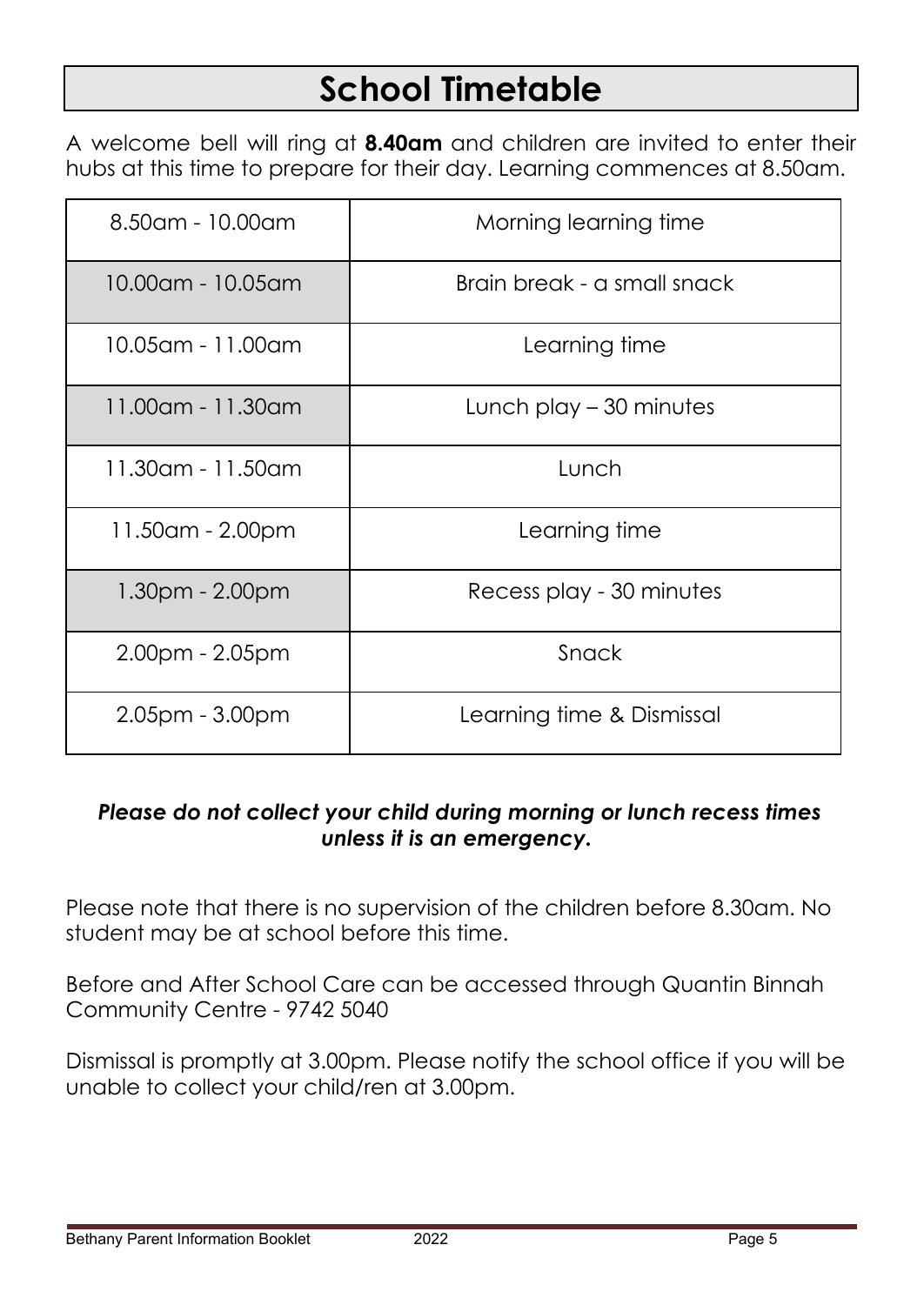# **School Timetable**

A welcome bell will ring at **8.40am** and children are invited to enter their hubs at this time to prepare for their day. Learning commences at 8.50am.

| 8.50am - 10.00am      | Morning learning time       |  |
|-----------------------|-----------------------------|--|
| 10.00am - 10.05am     | Brain break - a small snack |  |
| 10.05am - 11.00am     | Learning time               |  |
| 11.00am - 11.30am     | Lunch play $-30$ minutes    |  |
| 11.30am - 11.50am     | Lunch                       |  |
| 11.50am - 2.00pm      | Learning time               |  |
| $1.30pm - 2.00pm$     | Recess play - 30 minutes    |  |
| $2.00pm - 2.05pm$     | Snack                       |  |
| $2.05$ pm - $3.00$ pm | Learning time & Dismissal   |  |

### *Please do not collect your child during morning or lunch recess times unless it is an emergency.*

Please note that there is no supervision of the children before 8.30am. No student may be at school before this time.

Before and After School Care can be accessed through Quantin Binnah Community Centre - 9742 5040

Dismissal is promptly at 3.00pm. Please notify the school office if you will be unable to collect your child/ren at 3.00pm.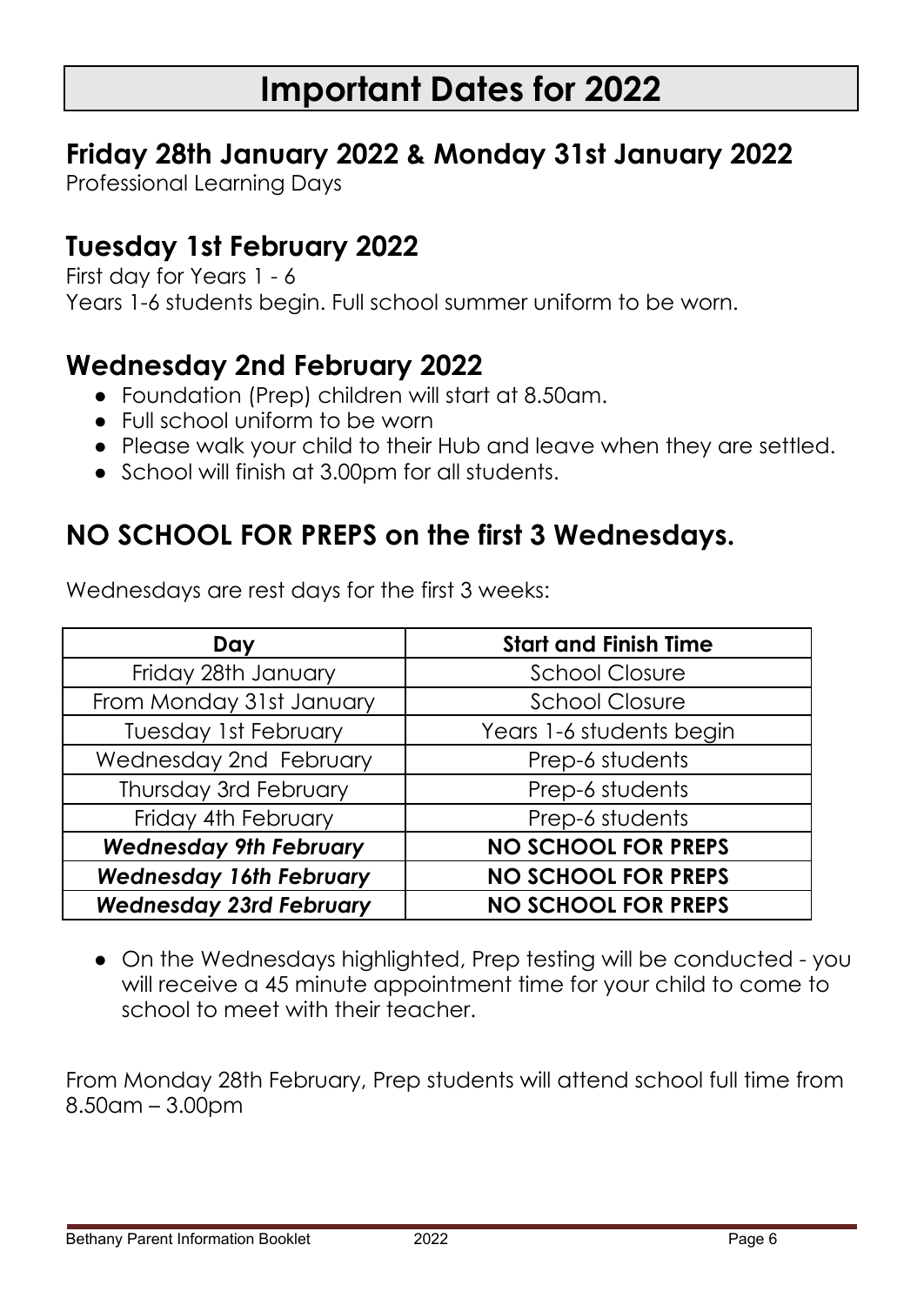# **Important Dates for 2022**

## **Friday 28th January 2022 & Monday 31st January 2022**

Professional Learning Days

## **Tuesday 1st February 2022**

First day for Years 1 - 6 Years 1-6 students begin. Full school summer uniform to be worn.

## **Wednesday 2nd February 2022**

- Foundation (Prep) children will start at 8.50am.
- Full school uniform to be worn
- Please walk your child to their Hub and leave when they are settled.
- School will finish at 3.00pm for all students.

## **NO SCHOOL FOR PREPS on the first 3 Wednesdays.**

| Day                            | <b>Start and Finish Time</b> |  |
|--------------------------------|------------------------------|--|
| Friday 28th January            | <b>School Closure</b>        |  |
| From Monday 31st January       | <b>School Closure</b>        |  |
| <b>Tuesday 1st February</b>    | Years 1-6 students begin     |  |
| Wednesday 2nd February         | Prep-6 students              |  |
| Thursday 3rd February          | Prep-6 students              |  |
| Friday 4th February            | Prep-6 students              |  |
| <b>Wednesday 9th February</b>  | <b>NO SCHOOL FOR PREPS</b>   |  |
| <b>Wednesday 16th February</b> | <b>NO SCHOOL FOR PREPS</b>   |  |
| <b>Wednesday 23rd February</b> | <b>NO SCHOOL FOR PREPS</b>   |  |

Wednesdays are rest days for the first 3 weeks:

● On the Wednesdays highlighted, Prep testing will be conducted - you will receive a 45 minute appointment time for your child to come to school to meet with their teacher.

From Monday 28th February, Prep students will attend school full time from 8.50am – 3.00pm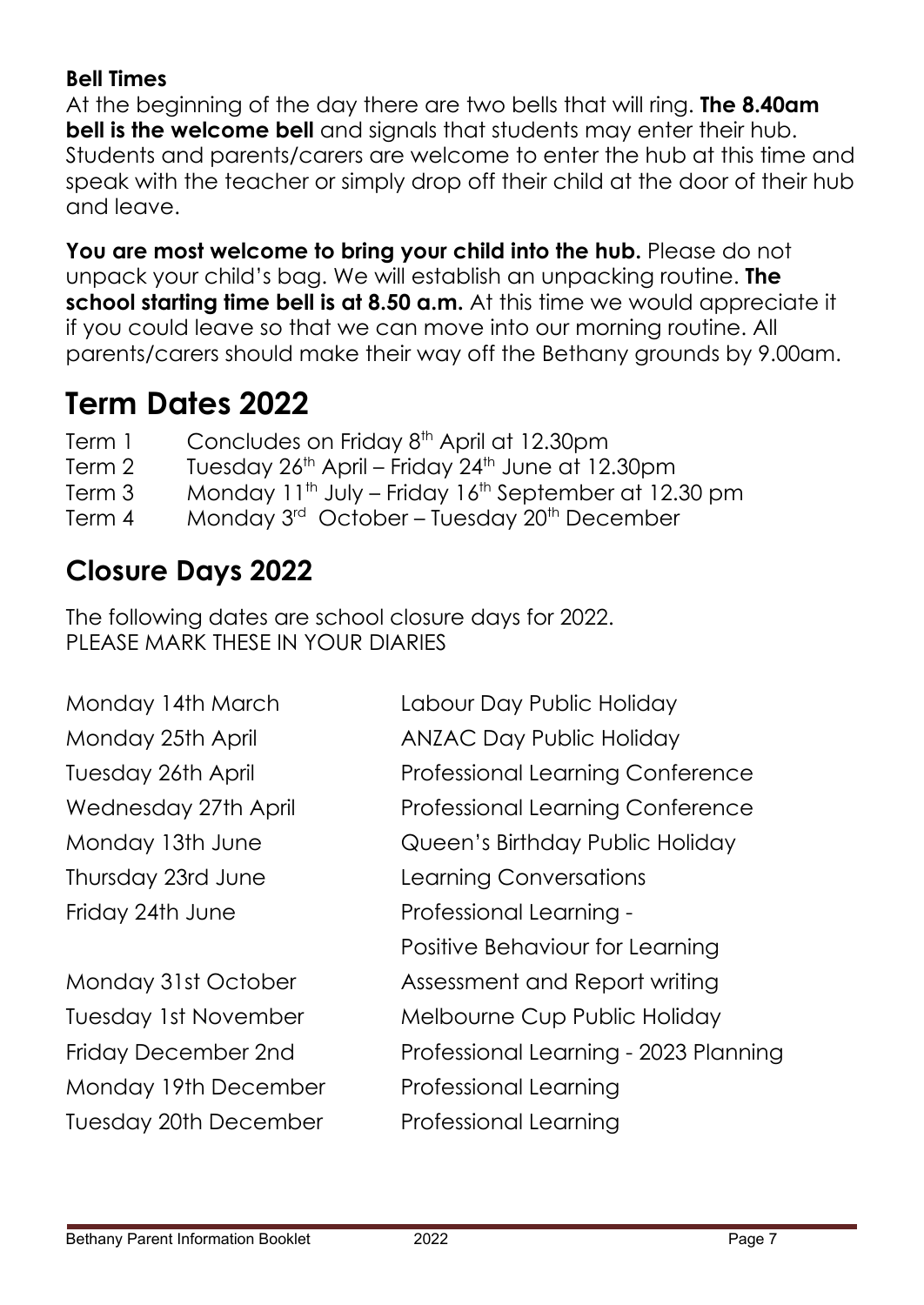### **Bell Times**

At the beginning of the day there are two bells that will ring. **The 8.40am bell is the welcome bell** and signals that students may enter their hub. Students and parents/carers are welcome to enter the hub at this time and speak with the teacher or simply drop off their child at the door of their hub and leave.

**You are most welcome to bring your child into the hub.** Please do not unpack your child's bag. We will establish an unpacking routine. **The school starting time bell is at 8.50 a.m.** At this time we would appreciate it if you could leave so that we can move into our morning routine. All parents/carers should make their way off the Bethany grounds by 9.00am.

# **Term Dates 2022**

| Term 1 | Concludes on Friday 8 <sup>th</sup> April at 12.30pm |
|--------|------------------------------------------------------|
|--------|------------------------------------------------------|

- Term 2 Tuesday 26<sup>th</sup> April Friday 24<sup>th</sup> June at 12.30pm
- Term 3 Monday 11<sup>th</sup> July Friday 16<sup>th</sup> September at 12.30 pm
- Term 4 Monday 3<sup>rd</sup> October Tuesday 20<sup>th</sup> December

## **Closure Days 2022**

The following dates are school closure days for 2022. PLEASE MARK THESE IN YOUR DIARIES

Monday 19th December Professional Learning Tuesday 20th December Professional Learning

Monday 14th March Labour Day Public Holiday Monday 25th April **ANZAC Day Public Holiday** Tuesday 26th April Professional Learning Conference Wednesday 27th April Professional Learning Conference Monday 13th June Queen's Birthday Public Holiday Thursday 23rd June Learning Conversations Friday 24th June Professional Learning - Positive Behaviour for Learning Monday 31st October Assessment and Report writing Tuesday 1st November Melbourne Cup Public Holiday Friday December 2nd Professional Learning - 2023 Planning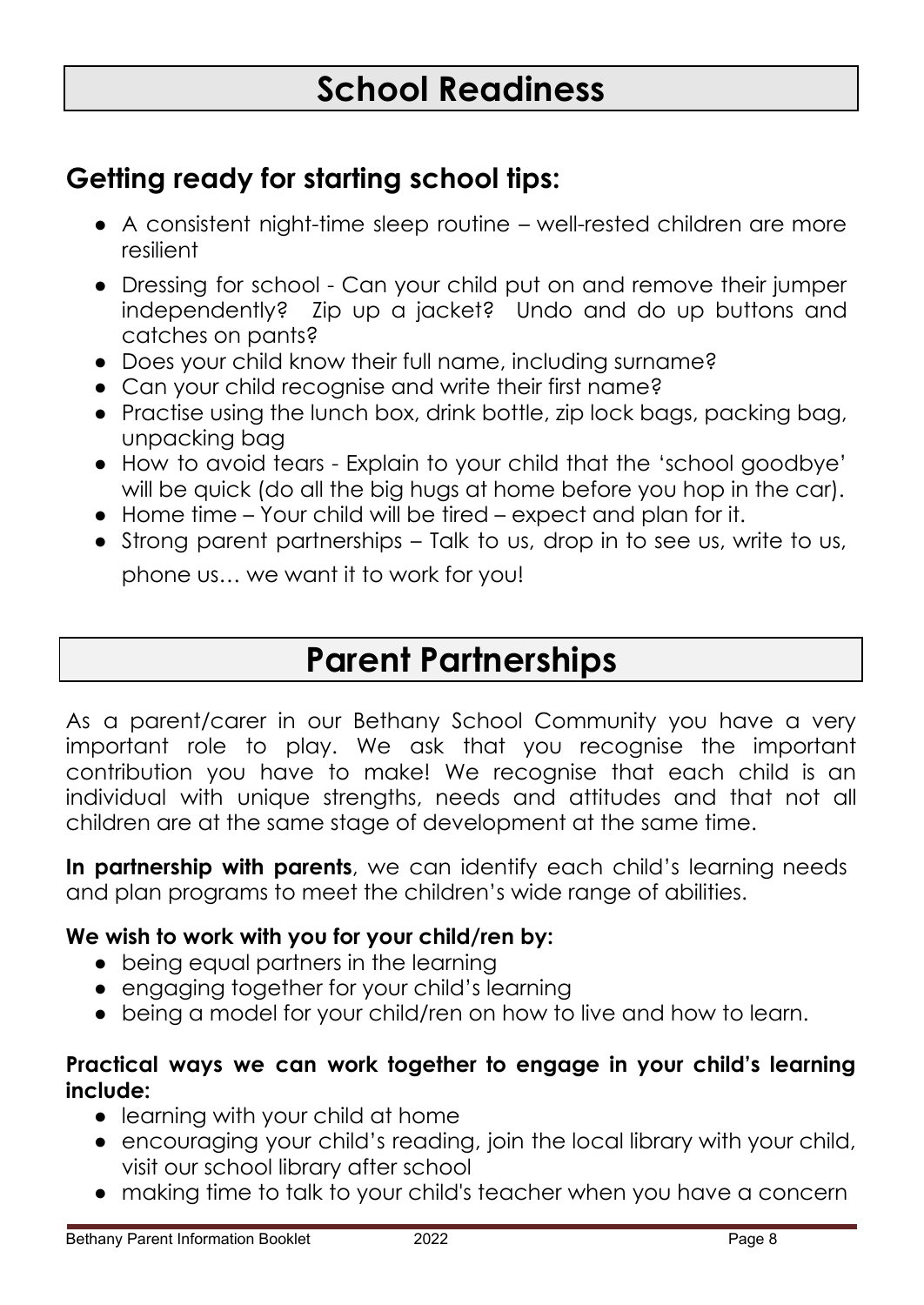# **School Readiness**

## **Getting ready for starting school tips:**

- A consistent night-time sleep routine well-rested children are more resilient
- Dressing for school Can your child put on and remove their jumper independently? Zip up a jacket? Undo and do up buttons and catches on pants?
- Does your child know their full name, including surname?
- Can your child recognise and write their first name?
- Practise using the lunch box, drink bottle, zip lock bags, packing bag, unpacking bag
- How to avoid tears Explain to your child that the 'school goodbye' will be quick (do all the big hugs at home before you hop in the car).
- Home time Your child will be tired expect and plan for it.
- Strong parent partnerships Talk to us, drop in to see us, write to us, phone us… we want it to work for you!

# **Parent Partnerships**

As a parent/carer in our Bethany School Community you have a very important role to play. We ask that you recognise the important contribution you have to make! We recognise that each child is an individual with unique strengths, needs and attitudes and that not all children are at the same stage of development at the same time.

**In partnership with parents**, we can identify each child's learning needs and plan programs to meet the children's wide range of abilities.

### **We wish to work with you for your child/ren by:**

- being equal partners in the learning
- engaging together for your child's learning
- being a model for your child/ren on how to live and how to learn.

#### **Practical ways we can work together to engage in your child's learning include:**

- learning with your child at home
- encouraging your child's reading, join the local library with your child, visit our school library after school
- making time to talk to your child's teacher when you have a concern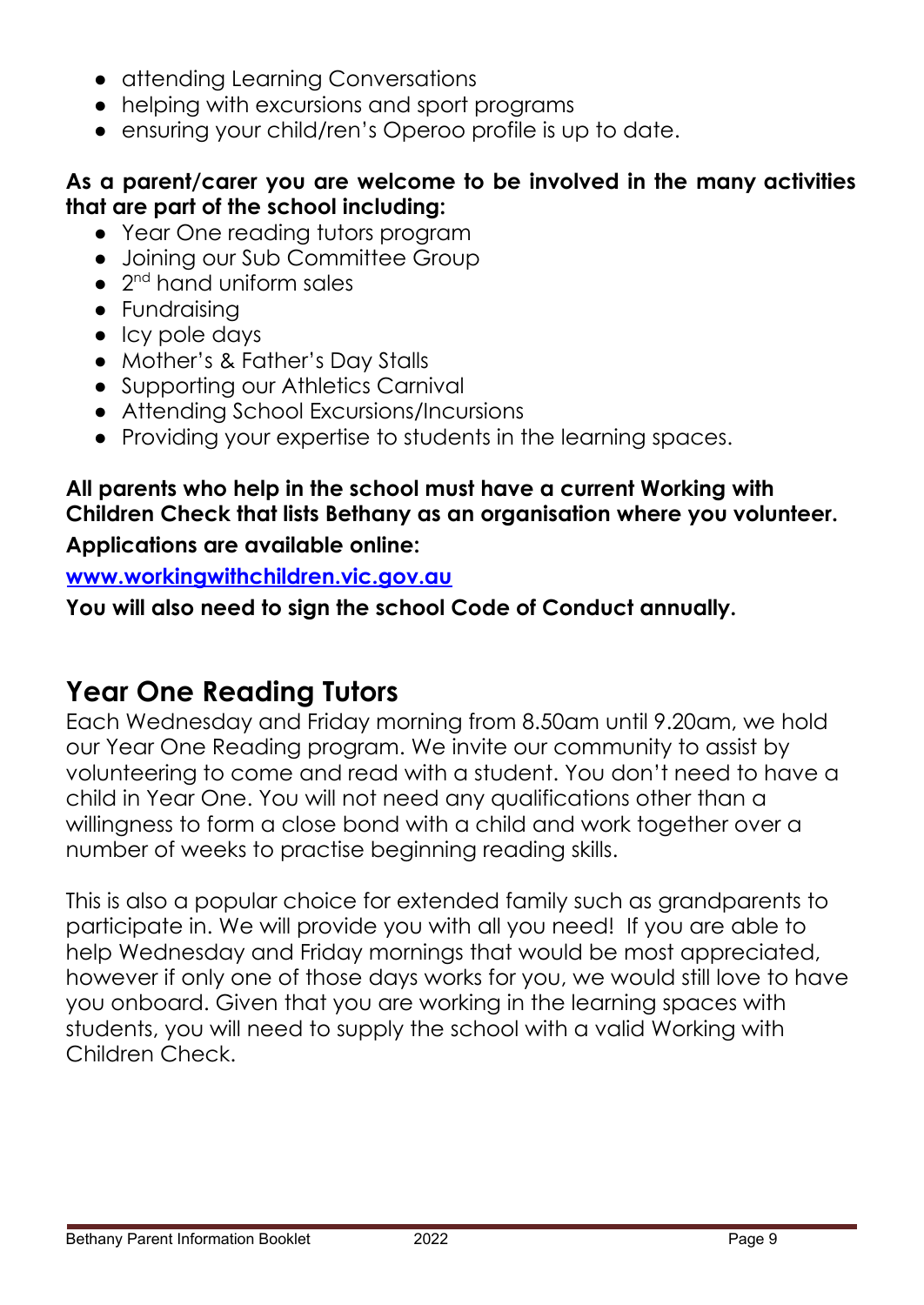- attending Learning Conversations
- helping with excursions and sport programs
- ensuring your child/ren's Operoo profile is up to date.

### **As a parent/carer you are welcome to be involved in the many activities that are part of the school including:**

- Year One reading tutors program
- Joining our Sub Committee Group
- 2<sup>nd</sup> hand uniform sales
- Fundraising
- Icy pole days
- Mother's & Father's Day Stalls
- Supporting our Athletics Carnival
- Attending School Excursions/Incursions
- Providing your expertise to students in the learning spaces.

## **All parents who help in the school must have a current Working with Children Check that lists Bethany as an organisation where you volunteer.**

### **Applications are available online:**

### **[www.workingwithchildren.vic.gov.au](http://www.workingwithchildren.vic.gov.au)**

**You will also need to sign the school Code of Conduct annually.**

## **Year One Reading Tutors**

Each Wednesday and Friday morning from 8.50am until 9.20am, we hold our Year One Reading program. We invite our community to assist by volunteering to come and read with a student. You don't need to have a child in Year One. You will not need any qualifications other than a willingness to form a close bond with a child and work together over a number of weeks to practise beginning reading skills.

This is also a popular choice for extended family such as grandparents to participate in. We will provide you with all you need! If you are able to help Wednesday and Friday mornings that would be most appreciated, however if only one of those days works for you, we would still love to have you onboard. Given that you are working in the learning spaces with students, you will need to supply the school with a valid Working with Children Check.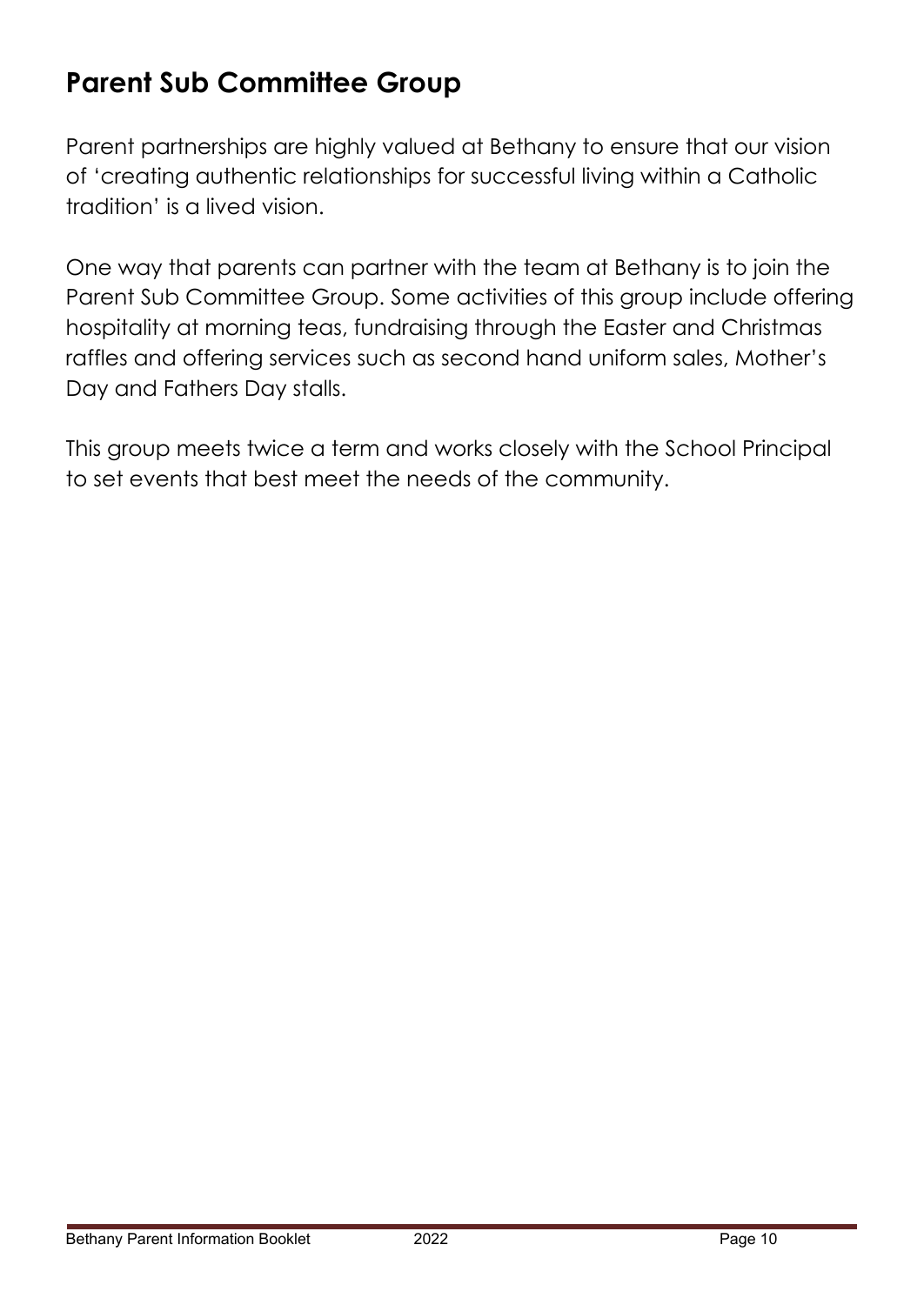## **Parent Sub Committee Group**

Parent partnerships are highly valued at Bethany to ensure that our vision of 'creating authentic relationships for successful living within a Catholic tradition' is a lived vision.

One way that parents can partner with the team at Bethany is to join the Parent Sub Committee Group. Some activities of this group include offering hospitality at morning teas, fundraising through the Easter and Christmas raffles and offering services such as second hand uniform sales, Mother's Day and Fathers Day stalls.

This group meets twice a term and works closely with the School Principal to set events that best meet the needs of the community.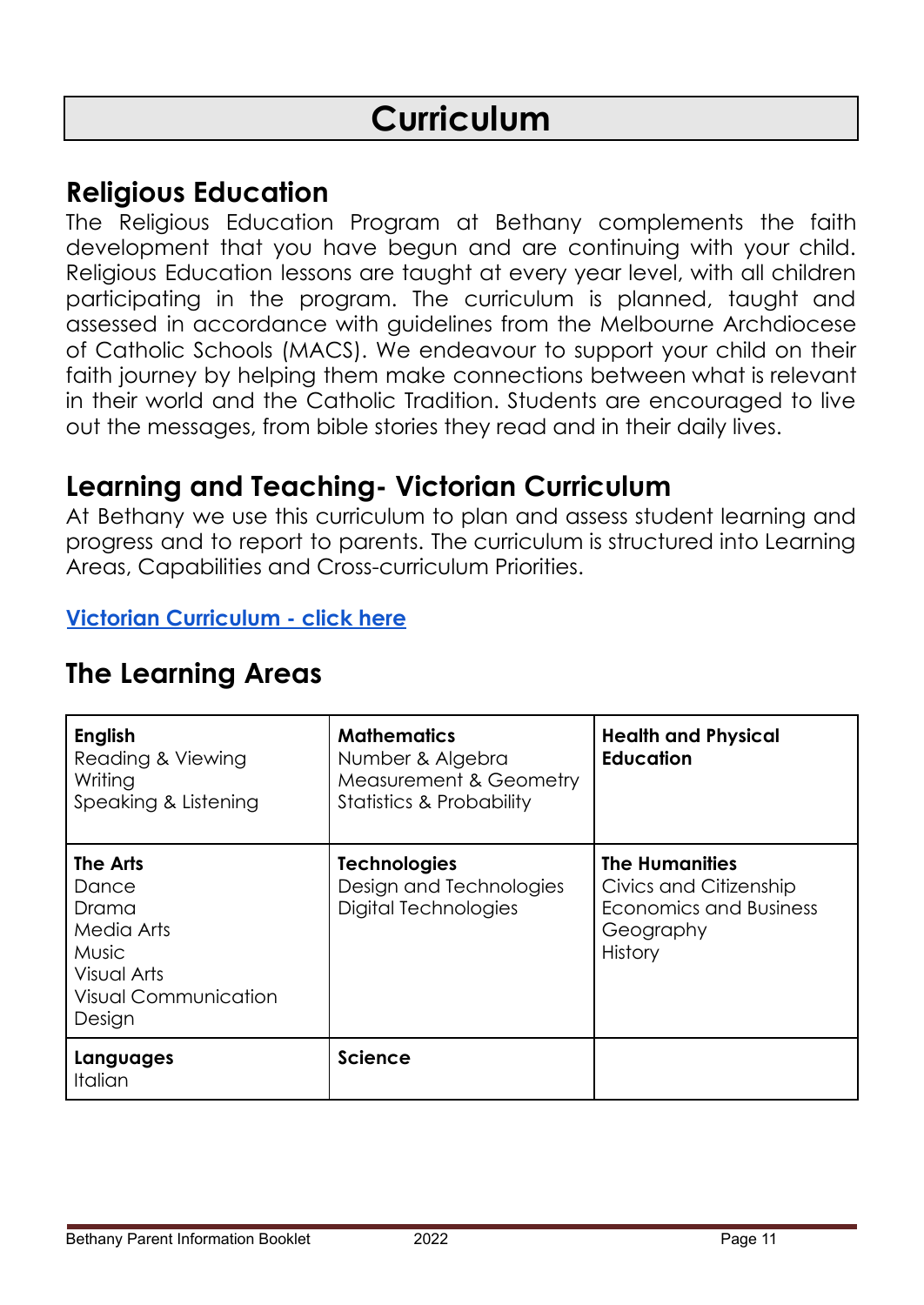# **Curriculum**

### **Religious Education**

The Religious Education Program at Bethany complements the faith development that you have begun and are continuing with your child. Religious Education lessons are taught at every year level, with all children participating in the program. The curriculum is planned, taught and assessed in accordance with guidelines from the Melbourne Archdiocese of Catholic Schools (MACS). We endeavour to support your child on their faith journey by helping them make connections between what is relevant in their world and the Catholic Tradition. Students are encouraged to live out the messages, from bible stories they read and in their daily lives.

## **Learning and Teaching- Victorian Curriculum**

At Bethany we use this curriculum to plan and assess student learning and progress and to report to parents. The curriculum is structured into Learning Areas, Capabilities and Cross-curriculum Priorities.

#### **Victorian [Curriculum](https://victoriancurriculum.vcaa.vic.edu.au/overview/about) - click here**

| <b>English</b><br>Reading & Viewing<br>Writing<br>Speaking & Listening                                           | <b>Mathematics</b><br>Number & Algebra<br>Measurement & Geometry<br><b>Statistics &amp; Probability</b> | <b>Health and Physical</b><br><b>Education</b>                                                           |
|------------------------------------------------------------------------------------------------------------------|---------------------------------------------------------------------------------------------------------|----------------------------------------------------------------------------------------------------------|
| The Arts<br>Dance<br>Drama<br>Media Arts<br><b>Music</b><br>Visual Arts<br><b>Visual Communication</b><br>Design | <b>Technologies</b><br>Design and Technologies<br>Digital Technologies                                  | <b>The Humanities</b><br>Civics and Citizenship<br>Economics and Business<br>Geography<br><b>History</b> |
| Languages<br><b>Italian</b>                                                                                      | <b>Science</b>                                                                                          |                                                                                                          |

### **The Learning Areas**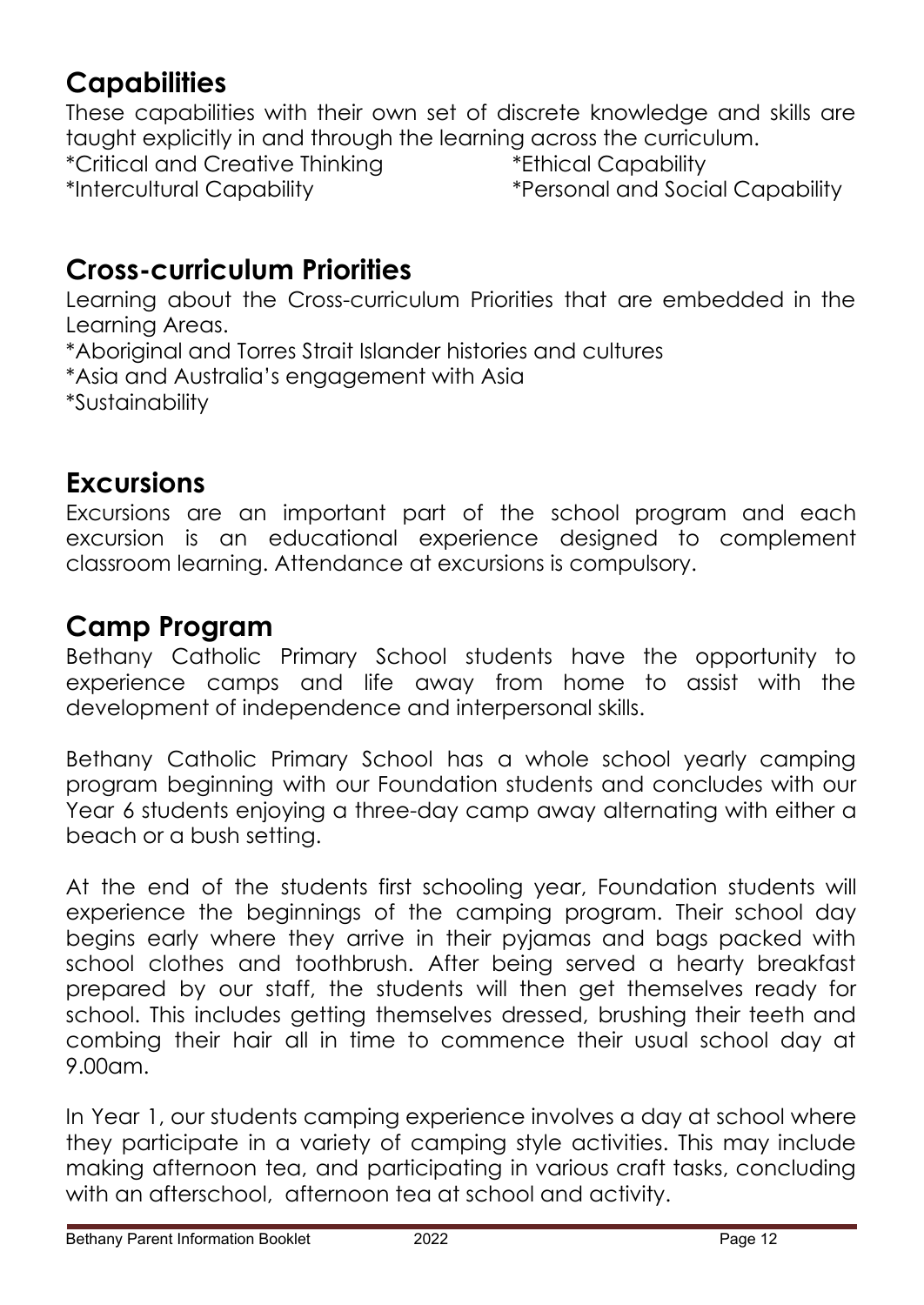# **Capabilities**

These capabilities with their own set of discrete knowledge and skills are taught explicitly in and through the learning across the curriculum. \*Critical and Creative Thinking \*Ethical Capability \*Intercultural Capability \*Personal and Social Capability

## **Cross-curriculum Priorities**

Learning about the Cross-curriculum Priorities that are embedded in the Learning Areas.

\*Aboriginal and Torres Strait Islander histories and cultures

\*Asia and Australia's engagement with Asia

\*Sustainability

## **Excursions**

Excursions are an important part of the school program and each excursion is an educational experience designed to complement classroom learning. Attendance at excursions is compulsory.

## **Camp Program**

Bethany Catholic Primary School students have the opportunity to experience camps and life away from home to assist with the development of independence and interpersonal skills.

Bethany Catholic Primary School has a whole school yearly camping program beginning with our Foundation students and concludes with our Year 6 students enjoying a three-day camp away alternating with either a beach or a bush setting.

At the end of the students first schooling year, Foundation students will experience the beginnings of the camping program. Their school day begins early where they arrive in their pyjamas and bags packed with school clothes and toothbrush. After being served a hearty breakfast prepared by our staff, the students will then get themselves ready for school. This includes getting themselves dressed, brushing their teeth and combing their hair all in time to commence their usual school day at 9.00am.

In Year 1, our students camping experience involves a day at school where they participate in a variety of camping style activities. This may include making afternoon tea, and participating in various craft tasks, concluding with an afterschool, afternoon tea at school and activity.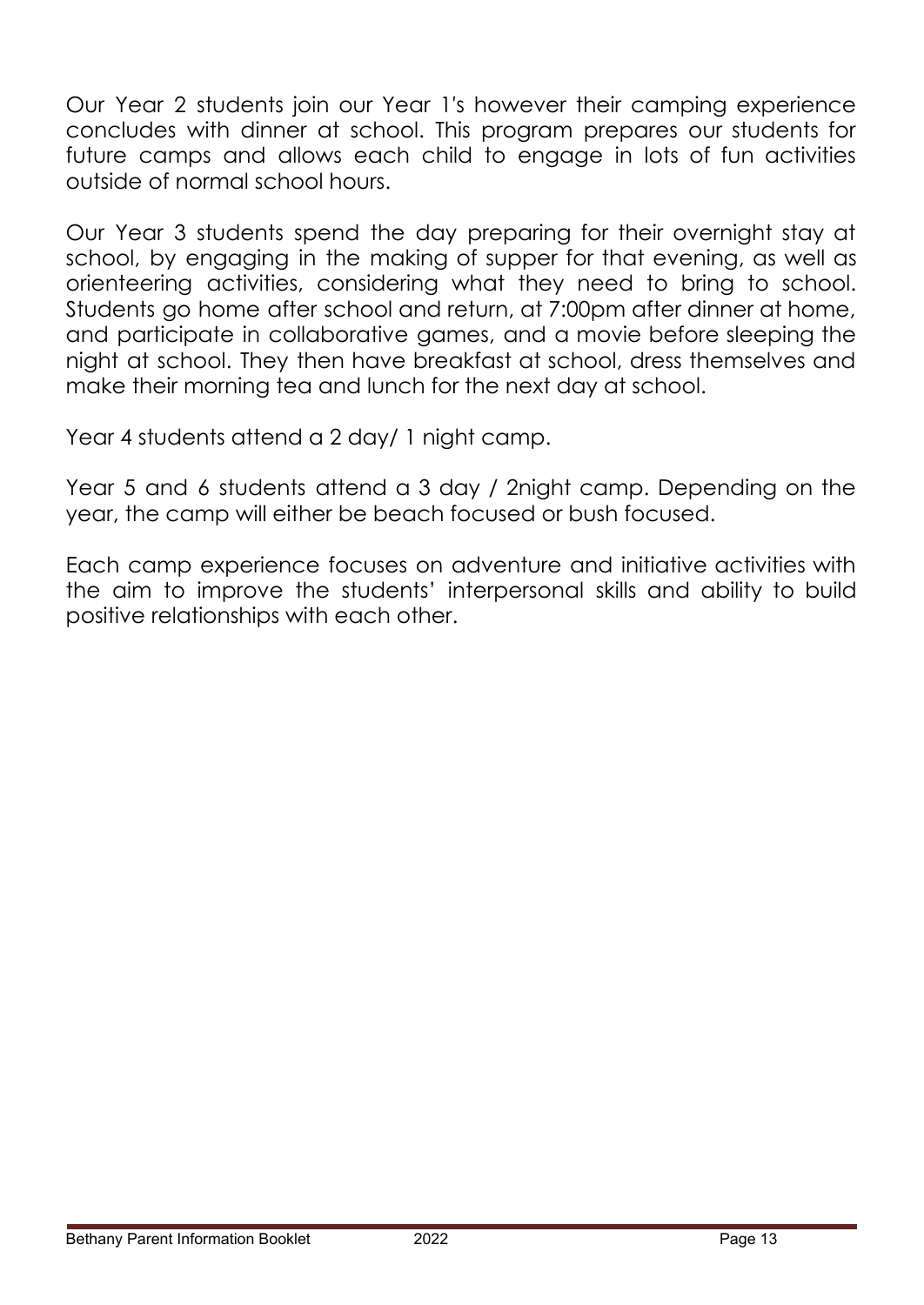Our Year 2 students join our Year 1′s however their camping experience concludes with dinner at school. This program prepares our students for future camps and allows each child to engage in lots of fun activities outside of normal school hours.

Our Year 3 students spend the day preparing for their overnight stay at school, by engaging in the making of supper for that evening, as well as orienteering activities, considering what they need to bring to school. Students go home after school and return, at 7:00pm after dinner at home, and participate in collaborative games, and a movie before sleeping the night at school. They then have breakfast at school, dress themselves and make their morning tea and lunch for the next day at school.

Year 4 students attend a 2 day/ 1 night camp.

Year 5 and 6 students attend a 3 day / 2night camp. Depending on the year, the camp will either be beach focused or bush focused.

Each camp experience focuses on adventure and initiative activities with the aim to improve the students' interpersonal skills and ability to build positive relationships with each other.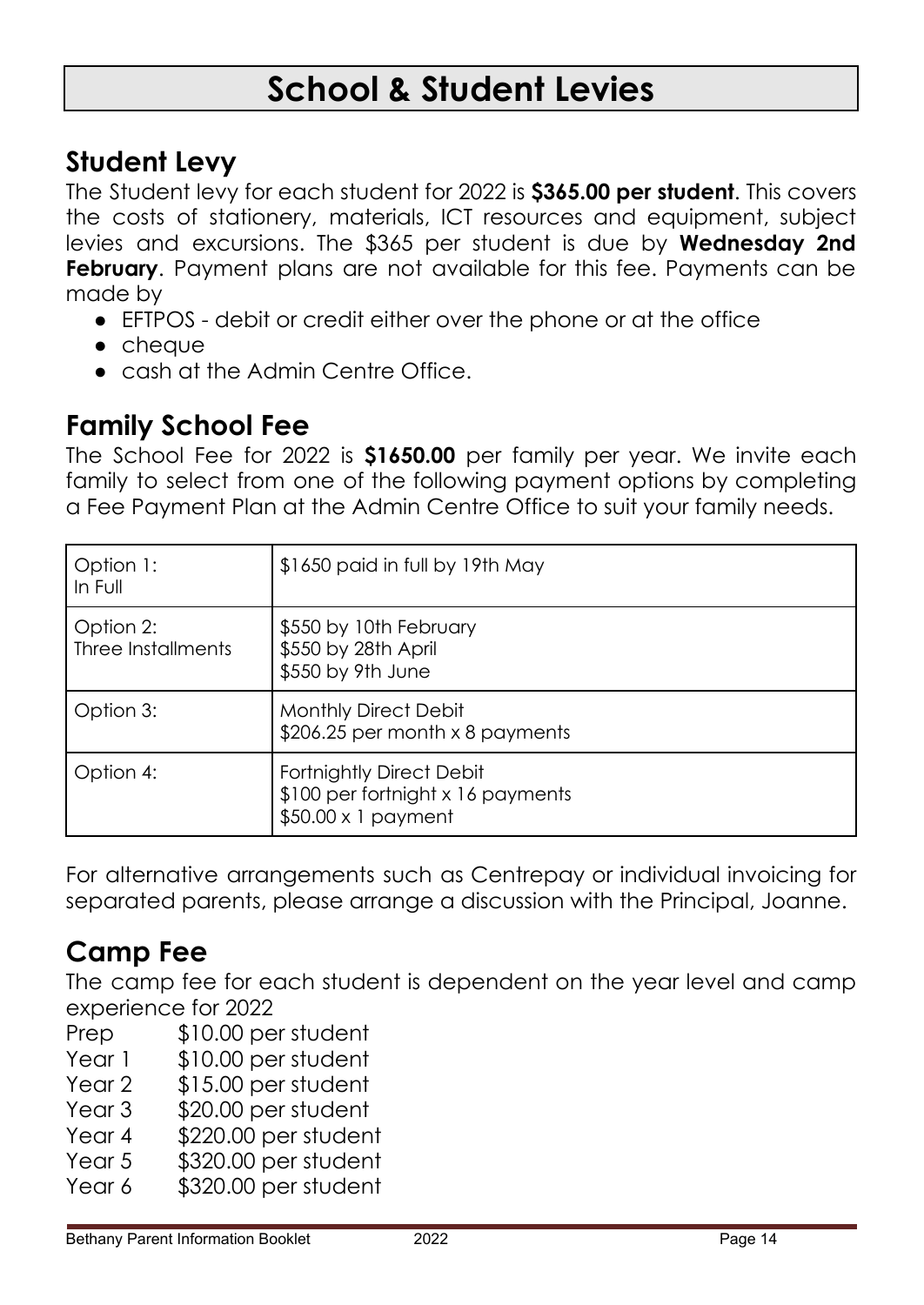# **School & Student Levies**

## **Student Levy**

The Student levy for each student for 2022 is **\$365.00 per student**. This covers the costs of stationery, materials, ICT resources and equipment, subject levies and excursions. The \$365 per student is due by **Wednesday 2nd February.** Payment plans are not available for this fee. Payments can be made by

- EFTPOS debit or credit either over the phone or at the office
- cheque
- cash at the Admin Centre Office.

## **Family School Fee**

The School Fee for 2022 is **\$1650.00** per family per year. We invite each family to select from one of the following payment options by completing a Fee Payment Plan at the Admin Centre Office to suit your family needs.

| Option 1:<br>In Full            | \$1650 paid in full by 19th May                                                                   |  |
|---------------------------------|---------------------------------------------------------------------------------------------------|--|
| Option 2:<br>Three Installments | \$550 by 10th February<br>\$550 by 28th April<br>\$550 by 9th June                                |  |
| Option 3:                       | Monthly Direct Debit<br>$$206.25$ per month x 8 payments                                          |  |
| Option 4:                       | <b>Fortnightly Direct Debit</b><br>\$100 per fortnight x 16 payments<br>$$50.00 \times 1$ payment |  |

For alternative arrangements such as Centrepay or individual invoicing for separated parents, please arrange a discussion with the Principal, Joanne.

## **Camp Fee**

The camp fee for each student is dependent on the year level and camp experience for 2022

- Prep \$10.00 per student
- Year 1 \$10.00 per student
- Year 2 \$15.00 per student
- Year 3 \$20.00 per student
- Year 4 \$220.00 per student
- Year 5 \$320.00 per student
- Year 6 \$320.00 per student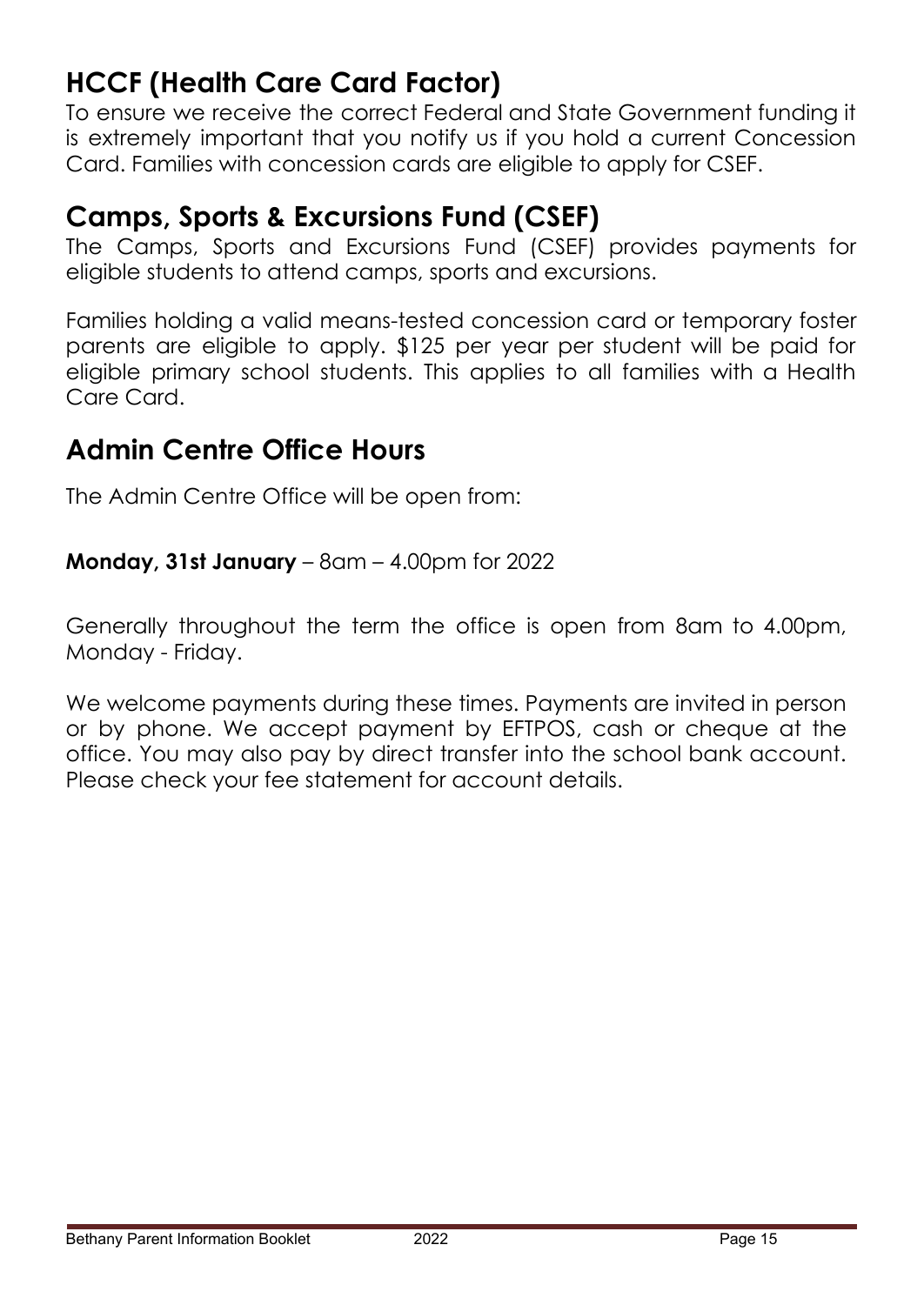## **HCCF (Health Care Card Factor)**

To ensure we receive the correct Federal and State Government funding it is extremely important that you notify us if you hold a current Concession Card. Families with concession cards are eligible to apply for CSEF.

## **Camps, Sports & Excursions Fund (CSEF)**

The Camps, Sports and Excursions Fund (CSEF) provides payments for eligible students to attend camps, sports and excursions.

Families holding a valid means-tested concession card or temporary foster parents are eligible to apply. \$125 per year per student will be paid for eligible primary school students. This applies to all families with a Health Care Card.

## **Admin Centre Office Hours**

The Admin Centre Office will be open from:

### **Monday, 31st January** – 8am – 4.00pm for 2022

Generally throughout the term the office is open from 8am to 4.00pm, Monday - Friday.

We welcome payments during these times. Payments are invited in person or by phone. We accept payment by EFTPOS, cash or cheque at the office. You may also pay by direct transfer into the school bank account. Please check your fee statement for account details.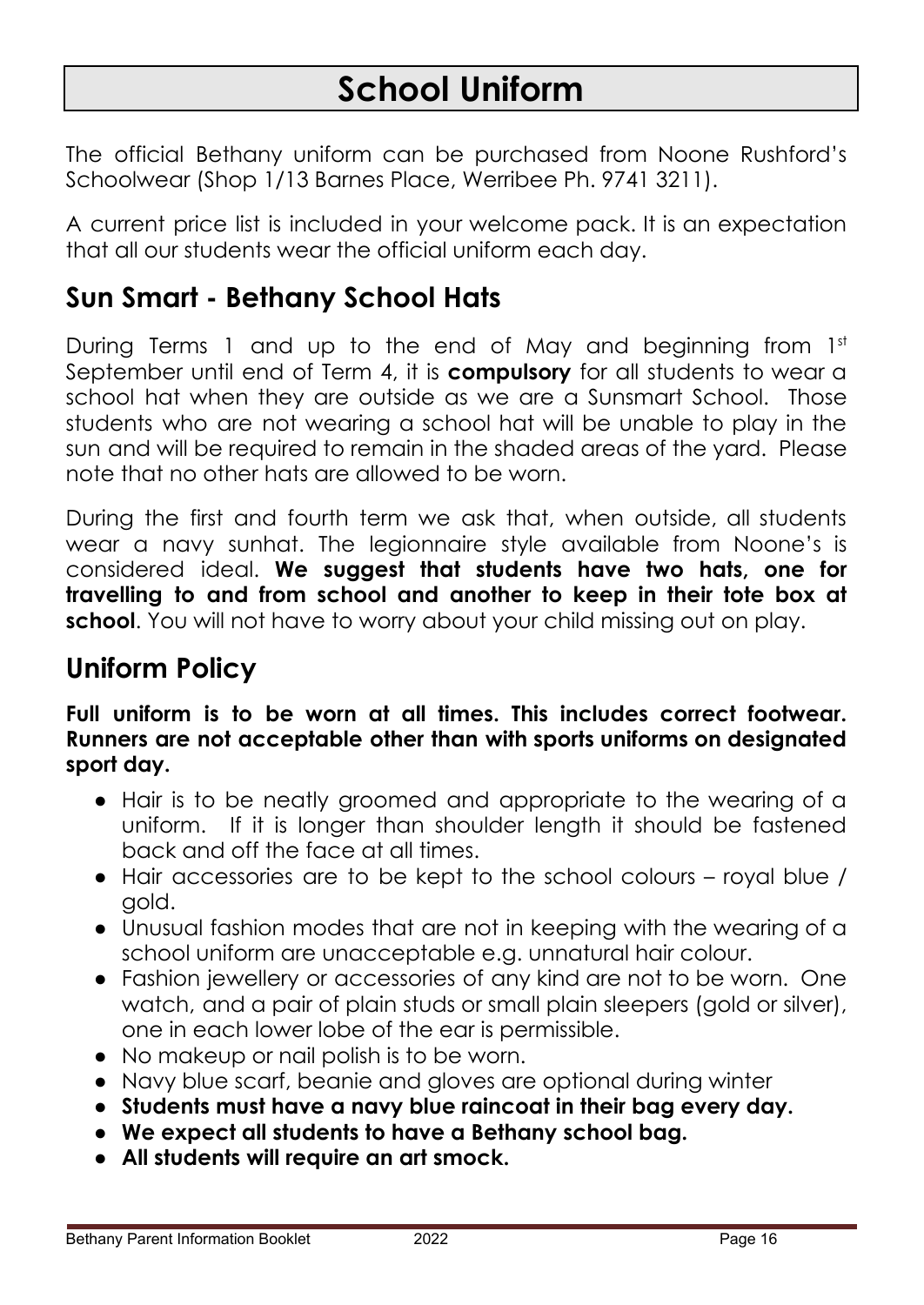# **School Uniform**

The official Bethany uniform can be purchased from Noone Rushford's Schoolwear (Shop 1/13 Barnes Place, Werribee Ph. 9741 3211).

A current price list is included in your welcome pack. It is an expectation that all our students wear the official uniform each day.

## **Sun Smart - Bethany School Hats**

During Terms 1 and up to the end of May and beginning from 1st September until end of Term 4, it is **compulsory** for all students to wear a school hat when they are outside as we are a Sunsmart School. Those students who are not wearing a school hat will be unable to play in the sun and will be required to remain in the shaded areas of the yard. Please note that no other hats are allowed to be worn.

During the first and fourth term we ask that, when outside, all students wear a navy sunhat. The legionnaire style available from Noone's is considered ideal. **We suggest that students have two hats, one for travelling to and from school and another to keep in their tote box at school**. You will not have to worry about your child missing out on play.

## **Uniform Policy**

**Full uniform is to be worn at all times. This includes correct footwear. Runners are not acceptable other than with sports uniforms on designated sport day.**

- Hair is to be neatly groomed and appropriate to the wearing of a uniform. If it is longer than shoulder length it should be fastened back and off the face at all times.
- Hair accessories are to be kept to the school colours royal blue / gold.
- Unusual fashion modes that are not in keeping with the wearing of a school uniform are unacceptable e.g. unnatural hair colour.
- Fashion jewellery or accessories of any kind are not to be worn. One watch, and a pair of plain studs or small plain sleepers (gold or silver), one in each lower lobe of the ear is permissible.
- No makeup or nail polish is to be worn.
- Navy blue scarf, beanie and gloves are optional during winter
- **● Students must have a navy blue raincoat in their bag every day.**
- **● We expect all students to have a Bethany school bag.**
- **All students will require an art smock.**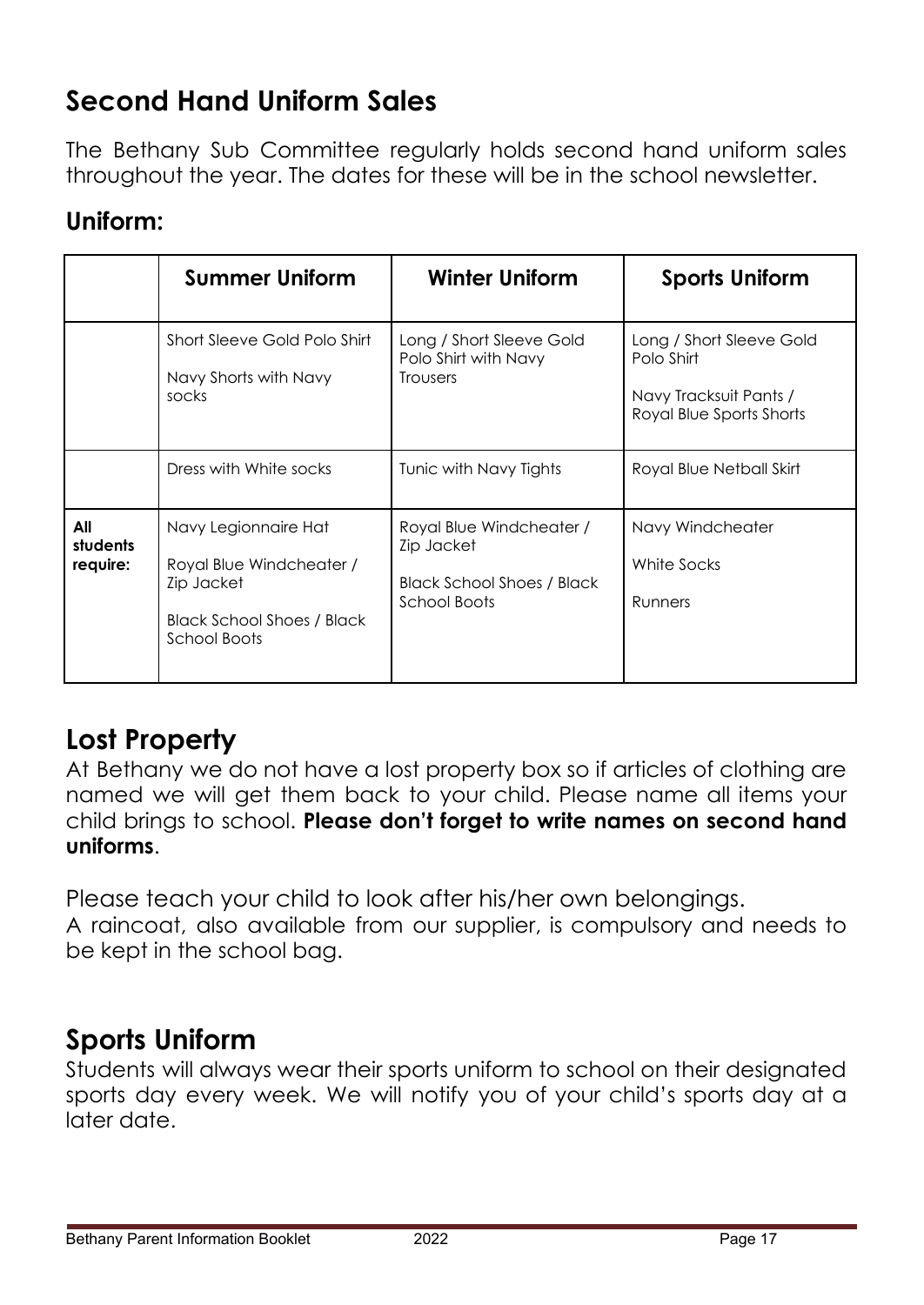## **Second Hand Uniform Sales**

The Bethany Sub Committee regularly holds second hand uniform sales throughout the year. The dates for these will be in the school newsletter.

### **Uniform:**

|                             | <b>Summer Uniform</b>                                                                                                      | <b>Winter Uniform</b>                                                                              | <b>Sports Uniform</b>                                                                        |
|-----------------------------|----------------------------------------------------------------------------------------------------------------------------|----------------------------------------------------------------------------------------------------|----------------------------------------------------------------------------------------------|
|                             | Short Sleeve Gold Polo Shirt<br>Navy Shorts with Navy<br>socks                                                             | Long / Short Sleeve Gold<br>Polo Shirt with Navy<br><b>Trousers</b>                                | Long / Short Sleeve Gold<br>Polo Shirt<br>Navy Tracksuit Pants /<br>Royal Blue Sports Shorts |
|                             | Dress with White socks                                                                                                     | Tunic with Navy Tights                                                                             | Royal Blue Netball Skirt                                                                     |
| All<br>students<br>require: | Navy Legionnaire Hat<br>Royal Blue Windcheater /<br>Zip Jacket<br><b>Black School Shoes / Black</b><br><b>School Boots</b> | Royal Blue Windcheater /<br>Zip Jacket<br><b>Black School Shoes / Black</b><br><b>School Boots</b> | Navy Windcheater<br>White Socks<br>Runners                                                   |

## **Lost Property**

At Bethany we do not have a lost property box so if articles of clothing are named we will get them back to your child. Please name all items your child brings to school. **Please don't forget to write names on second hand uniforms**.

Please teach your child to look after his/her own belongings. A raincoat, also available from our supplier, is compulsory and needs to be kept in the school bag.

## **Sports Uniform**

Students will always wear their sports uniform to school on their designated sports day every week. We will notify you of your child's sports day at a later date.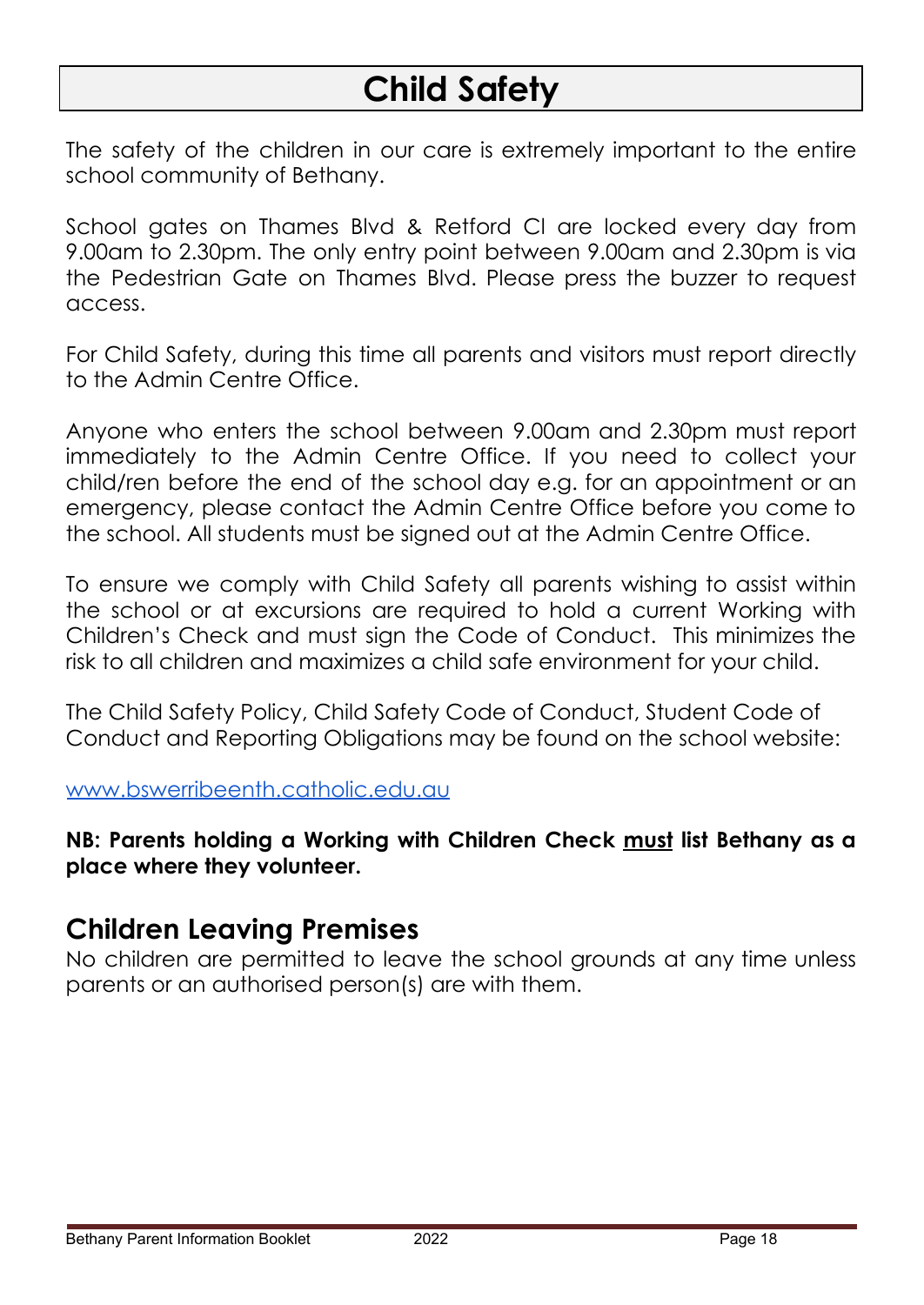# **Child Safety**

The safety of the children in our care is extremely important to the entire school community of Bethany.

School gates on Thames Blvd & Retford Cl are locked every day from 9.00am to 2.30pm. The only entry point between 9.00am and 2.30pm is via the Pedestrian Gate on Thames Blvd. Please press the buzzer to request access.

For Child Safety, during this time all parents and visitors must report directly to the Admin Centre Office.

Anyone who enters the school between 9.00am and 2.30pm must report immediately to the Admin Centre Office. If you need to collect your child/ren before the end of the school day e.g. for an appointment or an emergency, please contact the Admin Centre Office before you come to the school. All students must be signed out at the Admin Centre Office.

To ensure we comply with Child Safety all parents wishing to assist within the school or at excursions are required to hold a current Working with Children's Check and must sign the Code of Conduct. This minimizes the risk to all children and maximizes a child safe environment for your child.

The Child Safety Policy, Child Safety Code of Conduct, Student Code of Conduct and Reporting Obligations may be found on the school website:

[www.bswerribeenth.catholic.edu.au](http://www.bswerribeenth.catholic.edu.au)

**NB: Parents holding a Working with Children Check must list Bethany as a place where they volunteer.**

### **Children Leaving Premises**

No children are permitted to leave the school grounds at any time unless parents or an authorised person(s) are with them.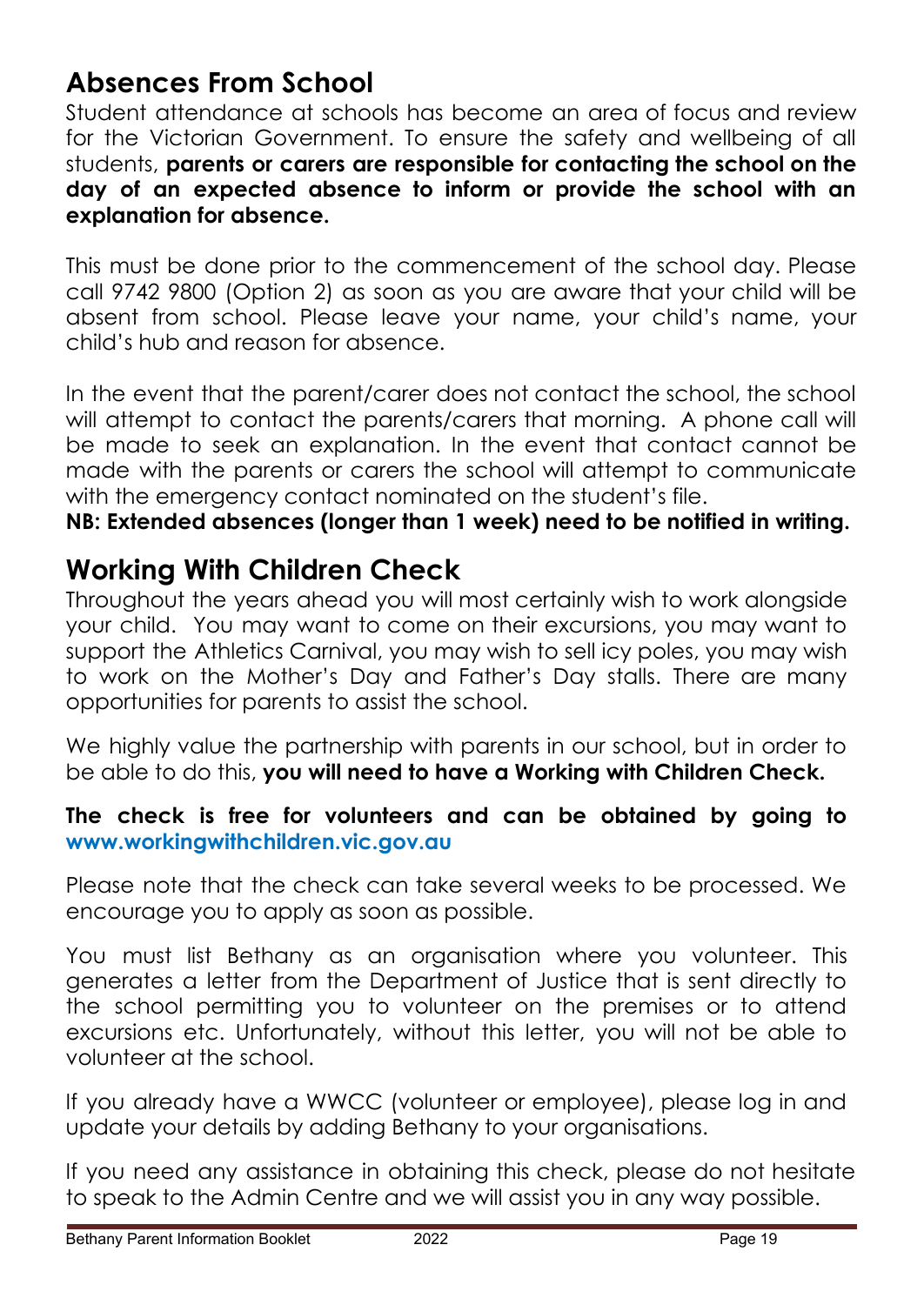## **Absences From School**

Student attendance at schools has become an area of focus and review for the Victorian Government. To ensure the safety and wellbeing of all students, **parents or carers are responsible for contacting the school on the day of an expected absence to inform or provide the school with an explanation for absence.**

This must be done prior to the commencement of the school day. Please call 9742 9800 (Option 2) as soon as you are aware that your child will be absent from school. Please leave your name, your child's name, your child's hub and reason for absence.

In the event that the parent/carer does not contact the school, the school will attempt to contact the parents/carers that morning. A phone call will be made to seek an explanation. In the event that contact cannot be made with the parents or carers the school will attempt to communicate with the emergency contact nominated on the student's file.

**NB: Extended absences (longer than 1 week) need to be notified in writing.**

## **Working With Children Check**

Throughout the years ahead you will most certainly wish to work alongside your child. You may want to come on their excursions, you may want to support the Athletics Carnival, you may wish to sell icy poles, you may wish to work on the Mother's Day and Father's Day stalls. There are many opportunities for parents to assist the school.

We highly value the partnership with parents in our school, but in order to be able to do this, **you will need to have a Working with Children Check.**

### **The check is free for volunteers and can be obtained by going t[o](http://www.workingwithchildren.vic.gov.au/) [www.workingwithchildren.vic.gov.au](http://www.workingwithchildren.vic.gov.au/)**

Please note that the check can take several weeks to be processed. We encourage you to apply as soon as possible.

You must list Bethany as an organisation where you volunteer. This generates a letter from the Department of Justice that is sent directly to the school permitting you to volunteer on the premises or to attend excursions etc. Unfortunately, without this letter, you will not be able to volunteer at the school.

If you already have a WWCC (volunteer or employee), please log in and update your details by adding Bethany to your organisations.

If you need any assistance in obtaining this check, please do not hesitate to speak to the Admin Centre and we will assist you in any way possible.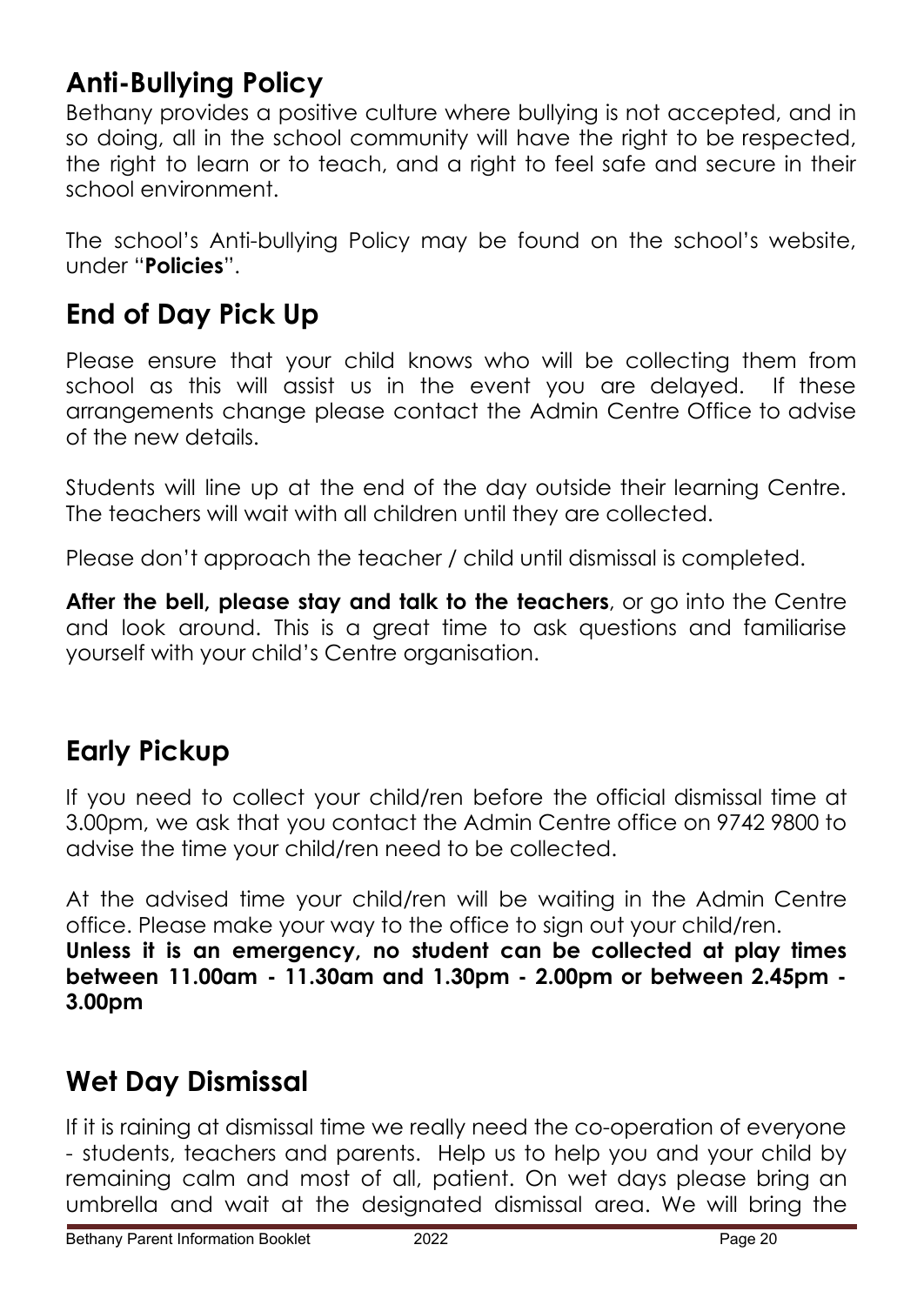## **Anti-Bullying Policy**

Bethany provides a positive culture where bullying is not accepted, and in so doing, all in the school community will have the right to be respected, the right to learn or to teach, and a right to feel safe and secure in their school environment.

The school's Anti-bullying Policy may be found on the school's website, under "**Policies**".

## **End of Day Pick Up**

Please ensure that your child knows who will be collecting them from school as this will assist us in the event you are delayed. If these arrangements change please contact the Admin Centre Office to advise of the new details.

Students will line up at the end of the day outside their learning Centre. The teachers will wait with all children until they are collected.

Please don't approach the teacher / child until dismissal is completed.

**After the bell, please stay and talk to the teachers**, or go into the Centre and look around. This is a great time to ask questions and familiarise yourself with your child's Centre organisation.

## **Early Pickup**

If you need to collect your child/ren before the official dismissal time at 3.00pm, we ask that you contact the Admin Centre office on 9742 9800 to advise the time your child/ren need to be collected.

At the advised time your child/ren will be waiting in the Admin Centre office. Please make your way to the office to sign out your child/ren. **Unless it is an emergency, no student can be collected at play times between 11.00am - 11.30am and 1.30pm - 2.00pm or between 2.45pm - 3.00pm**

## **Wet Day Dismissal**

If it is raining at dismissal time we really need the co-operation of everyone - students, teachers and parents. Help us to help you and your child by remaining calm and most of all, patient. On wet days please bring an umbrella and wait at the designated dismissal area. We will bring the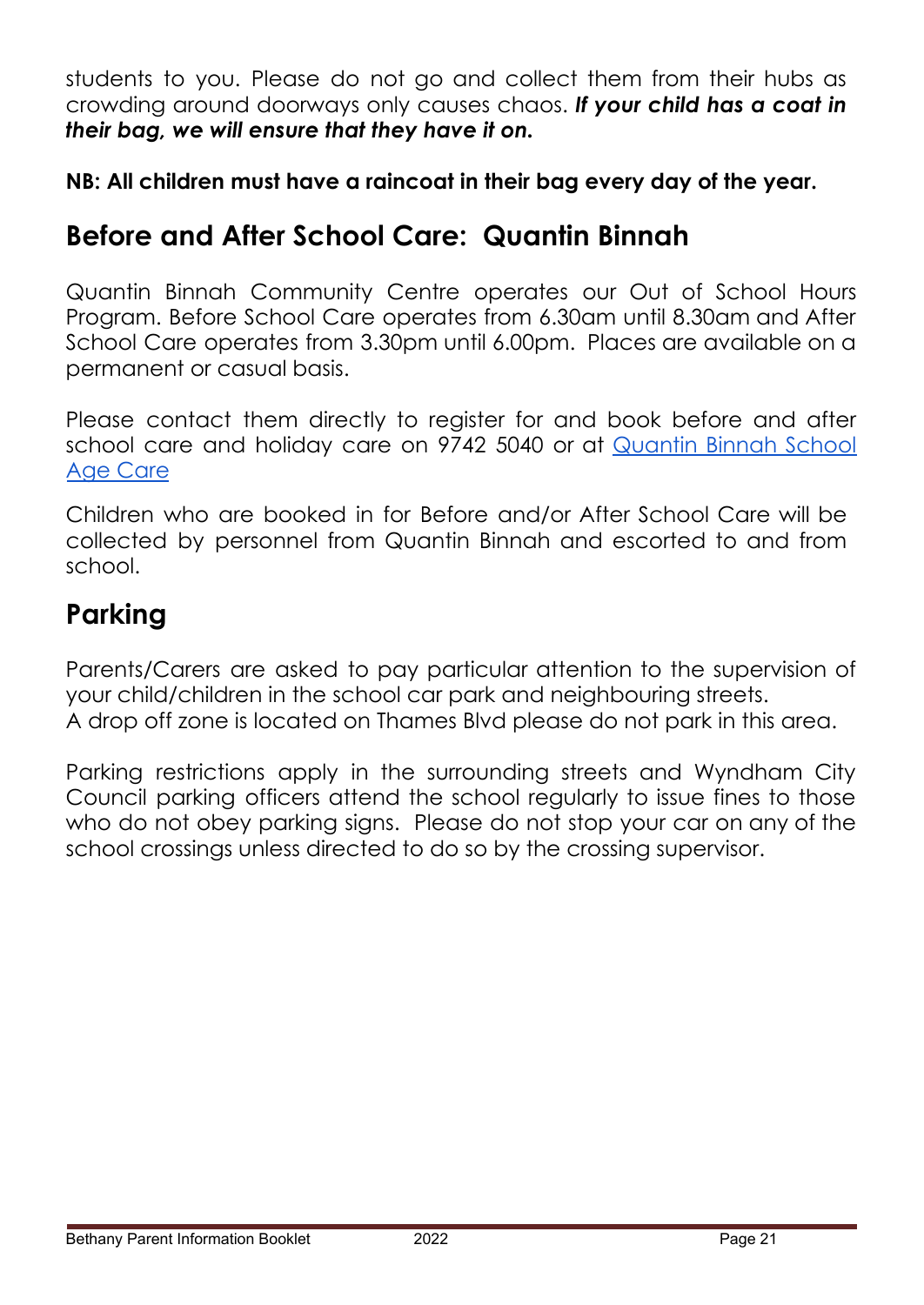students to you. Please do not go and collect them from their hubs as crowding around doorways only causes chaos. *If your child has a coat in their bag, we will ensure that they have it on.*

**NB: All children must have a raincoat in their bag every day of the year.**

## **Before and After School Care: Quantin Binnah**

Quantin Binnah Community Centre operates our Out of School Hours Program. Before School Care operates from 6.30am until 8.30am and After School Care operates from 3.30pm until 6.00pm. Places are available on a permanent or casual basis.

Please contact them directly to register for and book before and after school care and holiday care on 9742 5040 or at [Quantin](https://www.qbcc.org.au/school-aged-care-1) Binnah School Age [Care](https://www.qbcc.org.au/school-aged-care-1)

Children who are booked in for Before and/or After School Care will be collected by personnel from Quantin Binnah and escorted to and from school.

## **Parking**

Parents/Carers are asked to pay particular attention to the supervision of your child/children in the school car park and neighbouring streets. A drop off zone is located on Thames Blvd please do not park in this area.

Parking restrictions apply in the surrounding streets and Wyndham City Council parking officers attend the school regularly to issue fines to those who do not obey parking signs. Please do not stop your car on any of the school crossings unless directed to do so by the crossing supervisor.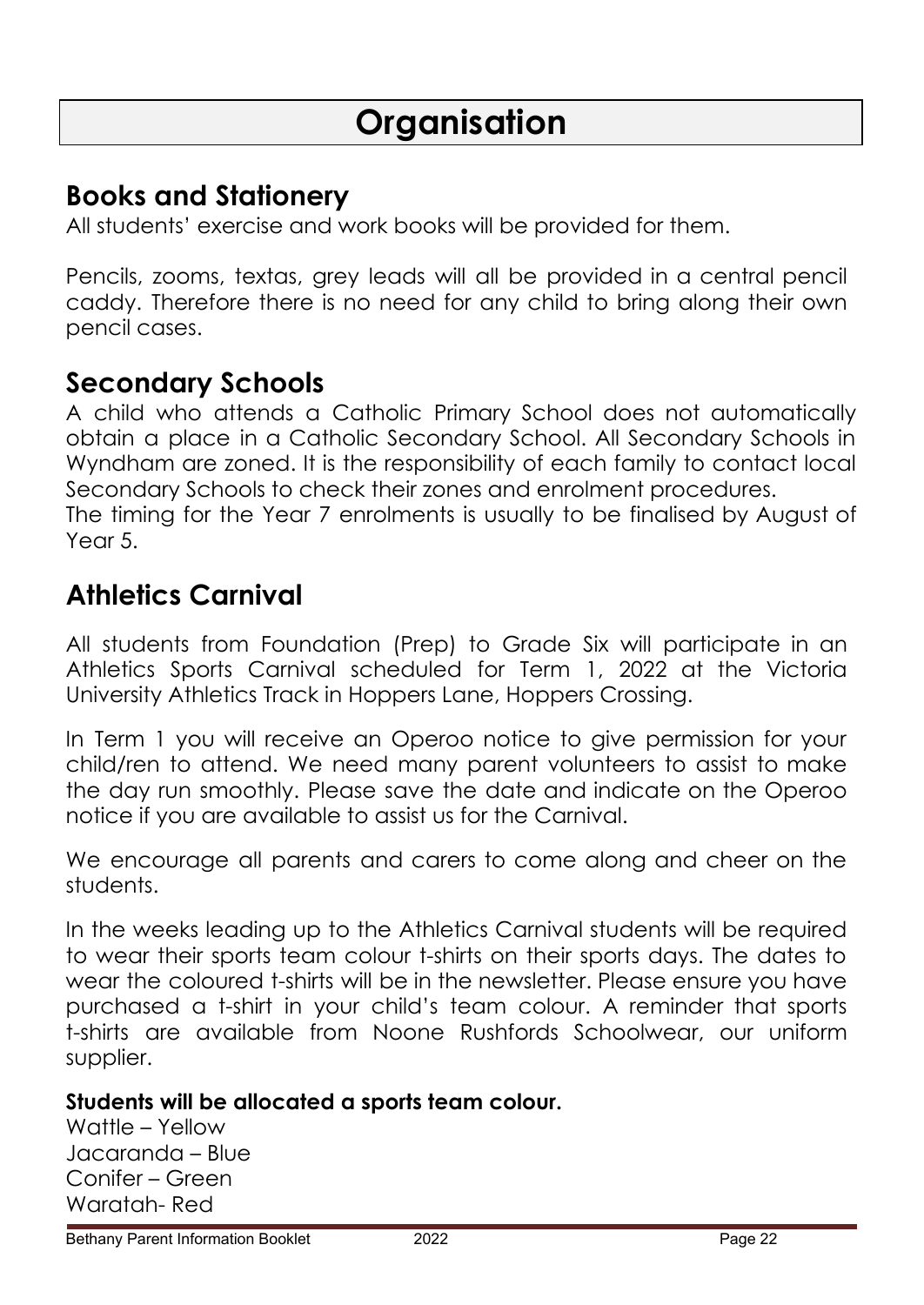## **Books and Stationery**

All students' exercise and work books will be provided for them.

Pencils, zooms, textas, grey leads will all be provided in a central pencil caddy. Therefore there is no need for any child to bring along their own pencil cases.

## **Secondary Schools**

A child who attends a Catholic Primary School does not automatically obtain a place in a Catholic Secondary School. All Secondary Schools in Wyndham are zoned. It is the responsibility of each family to contact local Secondary Schools to check their zones and enrolment procedures. The timing for the Year 7 enrolments is usually to be finalised by August of Year 5.

## **Athletics Carnival**

All students from Foundation (Prep) to Grade Six will participate in an Athletics Sports Carnival scheduled for Term 1, 2022 at the Victoria University Athletics Track in Hoppers Lane, Hoppers Crossing.

In Term 1 you will receive an Operoo notice to give permission for your child/ren to attend. We need many parent volunteers to assist to make the day run smoothly. Please save the date and indicate on the Operoo notice if you are available to assist us for the Carnival.

We encourage all parents and carers to come along and cheer on the students.

In the weeks leading up to the Athletics Carnival students will be required to wear their sports team colour t-shirts on their sports days. The dates to wear the coloured t-shirts will be in the newsletter. Please ensure you have purchased a t-shirt in your child's team colour. A reminder that sports t-shirts are available from Noone Rushfords Schoolwear, our uniform supplier.

### **Students will be allocated a sports team colour.**

Wattle – Yellow Jacaranda – Blue Conifer – Green Waratah- Red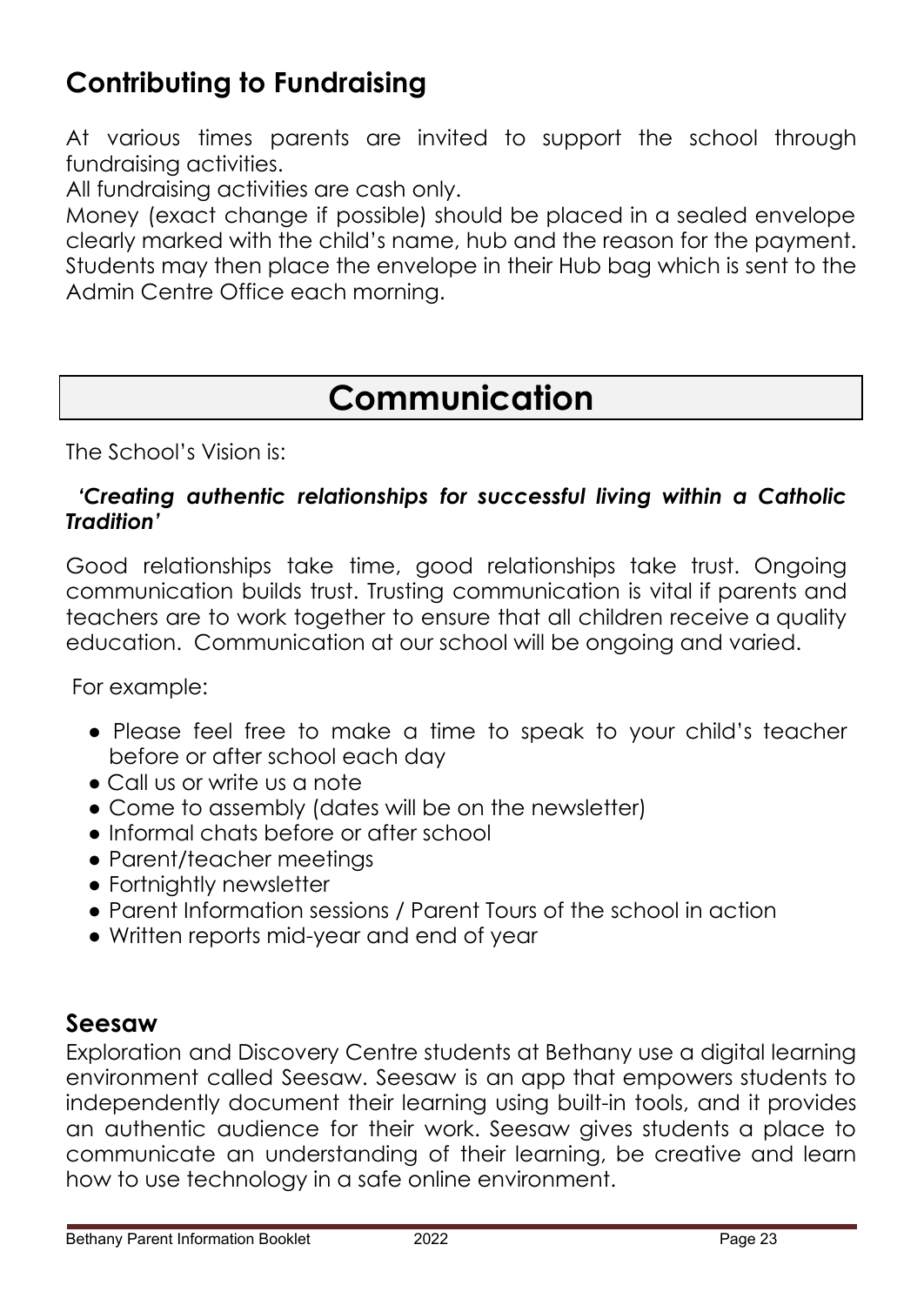# **Contributing to Fundraising**

At various times parents are invited to support the school through fundraising activities.

All fundraising activities are cash only.

Money (exact change if possible) should be placed in a sealed envelope clearly marked with the child's name, hub and the reason for the payment. Students may then place the envelope in their Hub bag which is sent to the Admin Centre Office each morning.

# **Communication**

#### The School's Vision is:

#### *'Creating authentic relationships for successful living within a Catholic Tradition'*

Good relationships take time, good relationships take trust. Ongoing communication builds trust. Trusting communication is vital if parents and teachers are to work together to ensure that all children receive a quality education. Communication at our school will be ongoing and varied.

For example:

- Please feel free to make a time to speak to your child's teacher before or after school each day
- Call us or write us a note
- Come to assembly (dates will be on the newsletter)
- Informal chats before or after school
- Parent/teacher meetings
- Fortnightly newsletter
- Parent Information sessions / Parent Tours of the school in action
- Written reports mid-year and end of year

### **Seesaw**

Exploration and Discovery Centre students at Bethany use a digital learning environment called Seesaw. Seesaw is an app that empowers students to independently document their learning using built-in tools, and it provides an authentic audience for their work. Seesaw gives students a place to communicate an understanding of their learning, be creative and learn how to use technology in a safe online environment.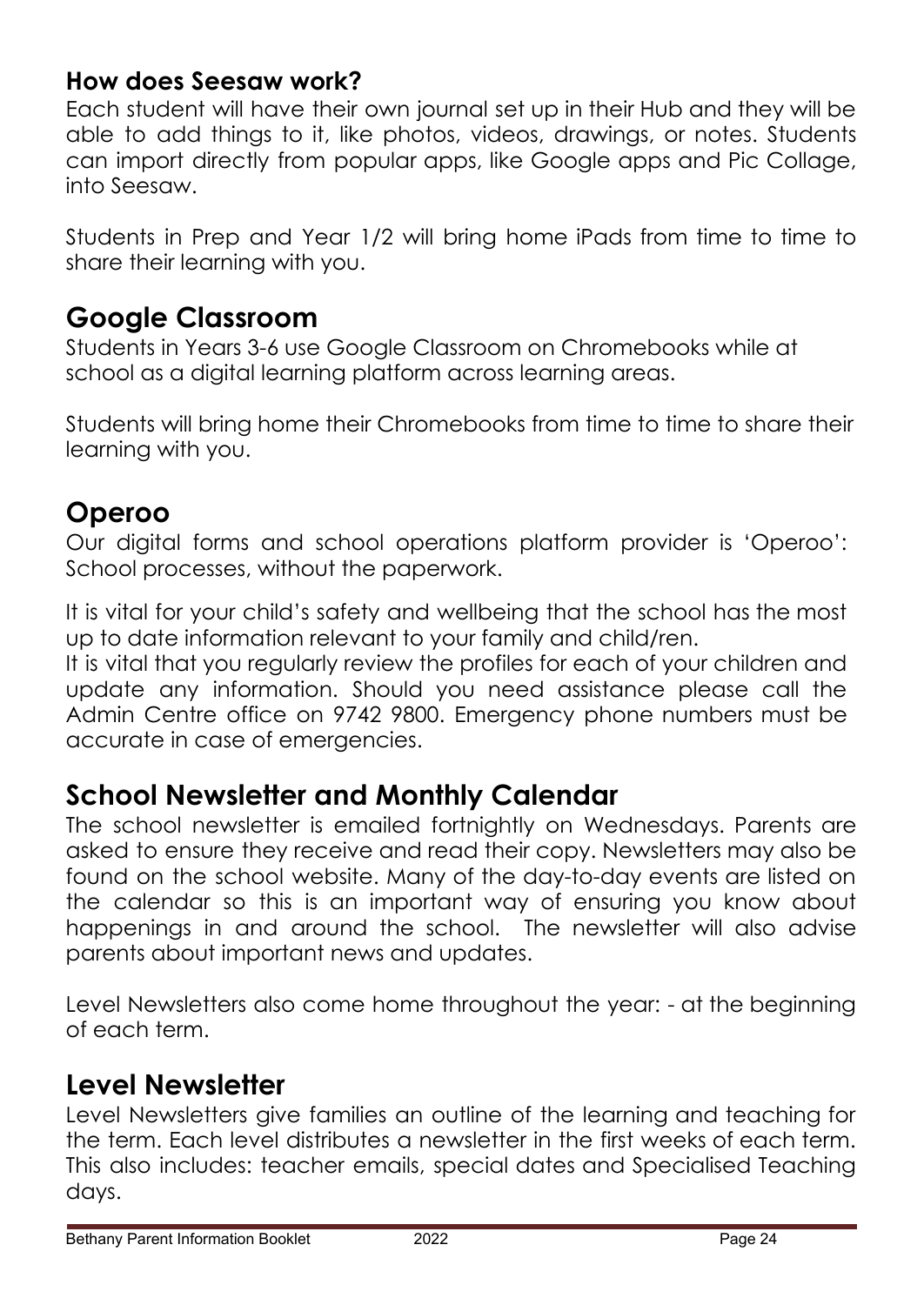### **How does Seesaw work?**

Each student will have their own journal set up in their Hub and they will be able to add things to it, like photos, videos, drawings, or notes. Students can import directly from popular apps, like Google apps and Pic Collage, into Seesaw.

Students in Prep and Year 1/2 will bring home iPads from time to time to share their learning with you.

## **Google Classroom**

Students in Years 3-6 use Google Classroom on Chromebooks while at school as a digital learning platform across learning areas.

Students will bring home their Chromebooks from time to time to share their learning with you.

## **Operoo**

Our digital forms and school operations platform provider is 'Operoo': School processes, without the paperwork.

It is vital for your child's safety and wellbeing that the school has the most up to date information relevant to your family and child/ren.

It is vital that you regularly review the profiles for each of your children and update any information. Should you need assistance please call the Admin Centre office on 9742 9800. Emergency phone numbers must be accurate in case of emergencies.

## **School Newsletter and Monthly Calendar**

The school newsletter is emailed fortnightly on Wednesdays. Parents are asked to ensure they receive and read their copy. Newsletters may also be found on the school website. Many of the day-to-day events are listed on the calendar so this is an important way of ensuring you know about happenings in and around the school. The newsletter will also advise parents about important news and updates.

Level Newsletters also come home throughout the year: - at the beginning of each term.

## **Level Newsletter**

Level Newsletters give families an outline of the learning and teaching for the term. Each level distributes a newsletter in the first weeks of each term. This also includes: teacher emails, special dates and Specialised Teaching days.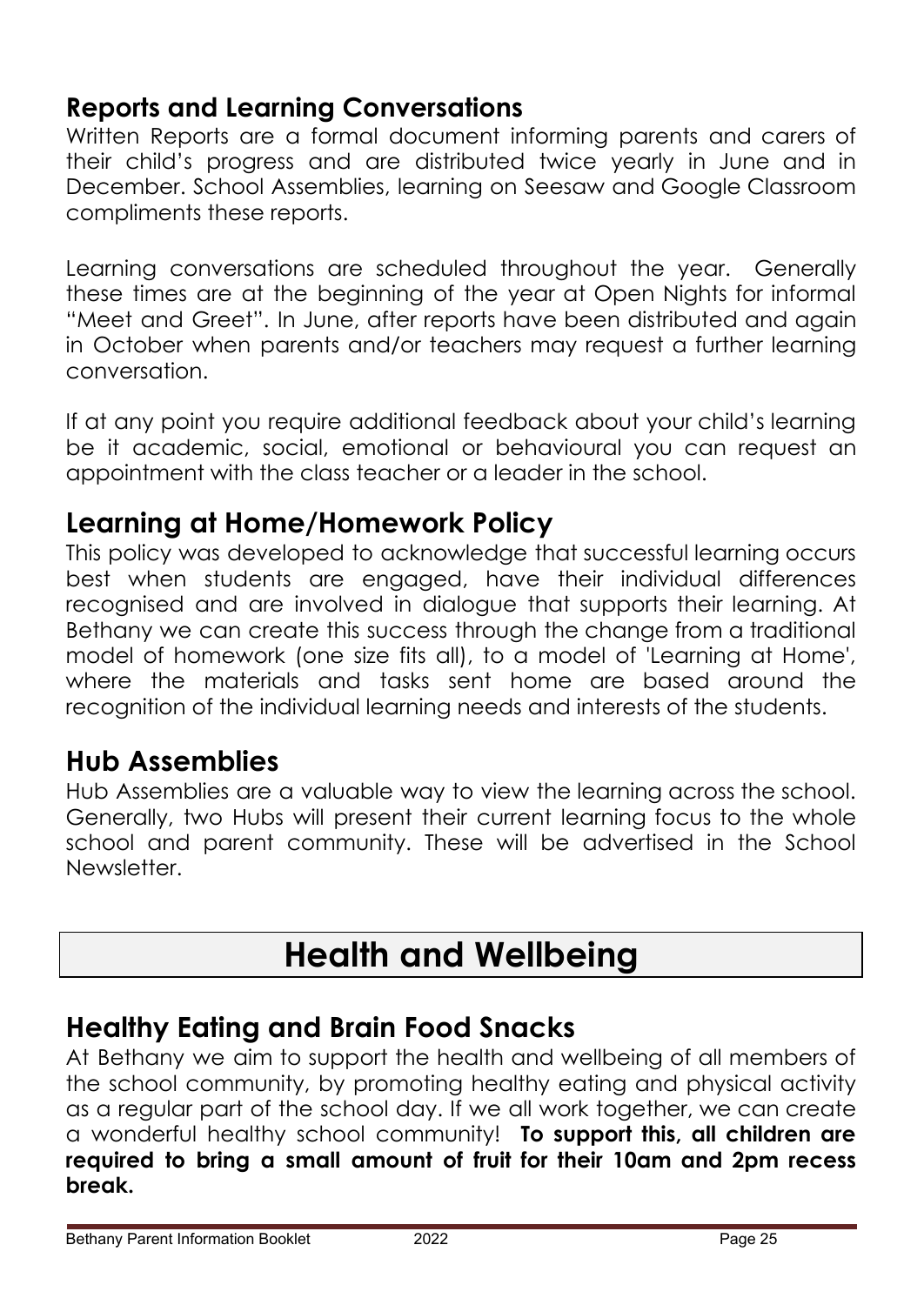## **Reports and Learning Conversations**

Written Reports are a formal document informing parents and carers of their child's progress and are distributed twice yearly in June and in December. School Assemblies, learning on Seesaw and Google Classroom compliments these reports.

Learning conversations are scheduled throughout the year. Generally these times are at the beginning of the year at Open Nights for informal "Meet and Greet". In June, after reports have been distributed and again in October when parents and/or teachers may request a further learning conversation.

If at any point you require additional feedback about your child's learning be it academic, social, emotional or behavioural you can request an appointment with the class teacher or a leader in the school.

## **Learning at Home/Homework Policy**

This policy was developed to acknowledge that successful learning occurs best when students are engaged, have their individual differences recognised and are involved in dialogue that supports their learning. At Bethany we can create this success through the change from a traditional model of homework (one size fits all), to a model of 'Learning at Home', where the materials and tasks sent home are based around the recognition of the individual learning needs and interests of the students.

## **Hub Assemblies**

Hub Assemblies are a valuable way to view the learning across the school. Generally, two Hubs will present their current learning focus to the whole school and parent community. These will be advertised in the School Newsletter.

# **Health and Wellbeing**

## **Healthy Eating and Brain Food Snacks**

At Bethany we aim to support the health and wellbeing of all members of the school community, by promoting healthy eating and physical activity as a regular part of the school day. If we all work together, we can create a wonderful healthy school community! **To support this, all children are required to bring a small amount of fruit for their 10am and 2pm recess break.**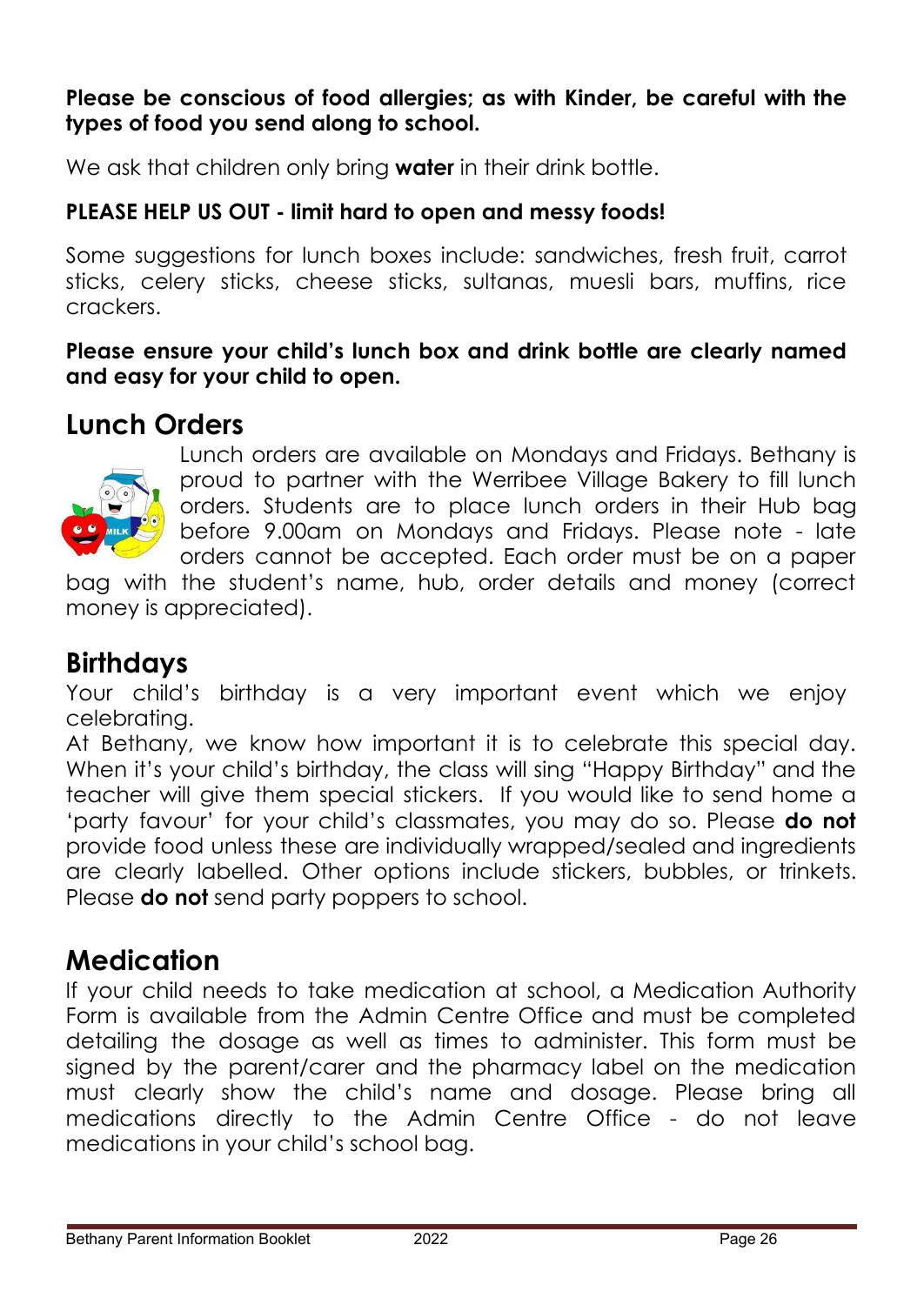#### **Please be conscious of food allergies; as with Kinder, be careful with the types of food you send along to school.**

We ask that children only bring **water** in their drink bottle.

### **PLEASE HELP US OUT - limit hard to open and messy foods!**

Some suggestions for lunch boxes include: sandwiches, fresh fruit, carrot sticks, celery sticks, cheese sticks, sultanas, muesli bars, muffins, rice crackers.

**Please ensure your child's lunch box and drink bottle are clearly named and easy for your child to open.**

## **Lunch Orders**



Lunch orders are available on Mondays and Fridays. Bethany is proud to partner with the Werribee Village Bakery to fill lunch orders. Students are to place lunch orders in their Hub bag before 9.00am on Mondays and Fridays. Please note - late orders cannot be accepted. Each order must be on a paper

bag with the student's name, hub, order details and money (correct money is appreciated).

## **Birthdays**

Your child's birthday is a very important event which we enjoy celebrating.

At Bethany, we know how important it is to celebrate this special day. When it's your child's birthday, the class will sing "Happy Birthday" and the teacher will give them special stickers. If you would like to send home a 'party favour' for your child's classmates, you may do so. Please **do not** provide food unless these are individually wrapped/sealed and ingredients are clearly labelled. Other options include stickers, bubbles, or trinkets. Please **do not** send party poppers to school.

## **Medication**

If your child needs to take medication at school, a Medication Authority Form is available from the Admin Centre Office and must be completed detailing the dosage as well as times to administer. This form must be signed by the parent/carer and the pharmacy label on the medication must clearly show the child's name and dosage. Please bring all medications directly to the Admin Centre Office - do not leave medications in your child's school bag.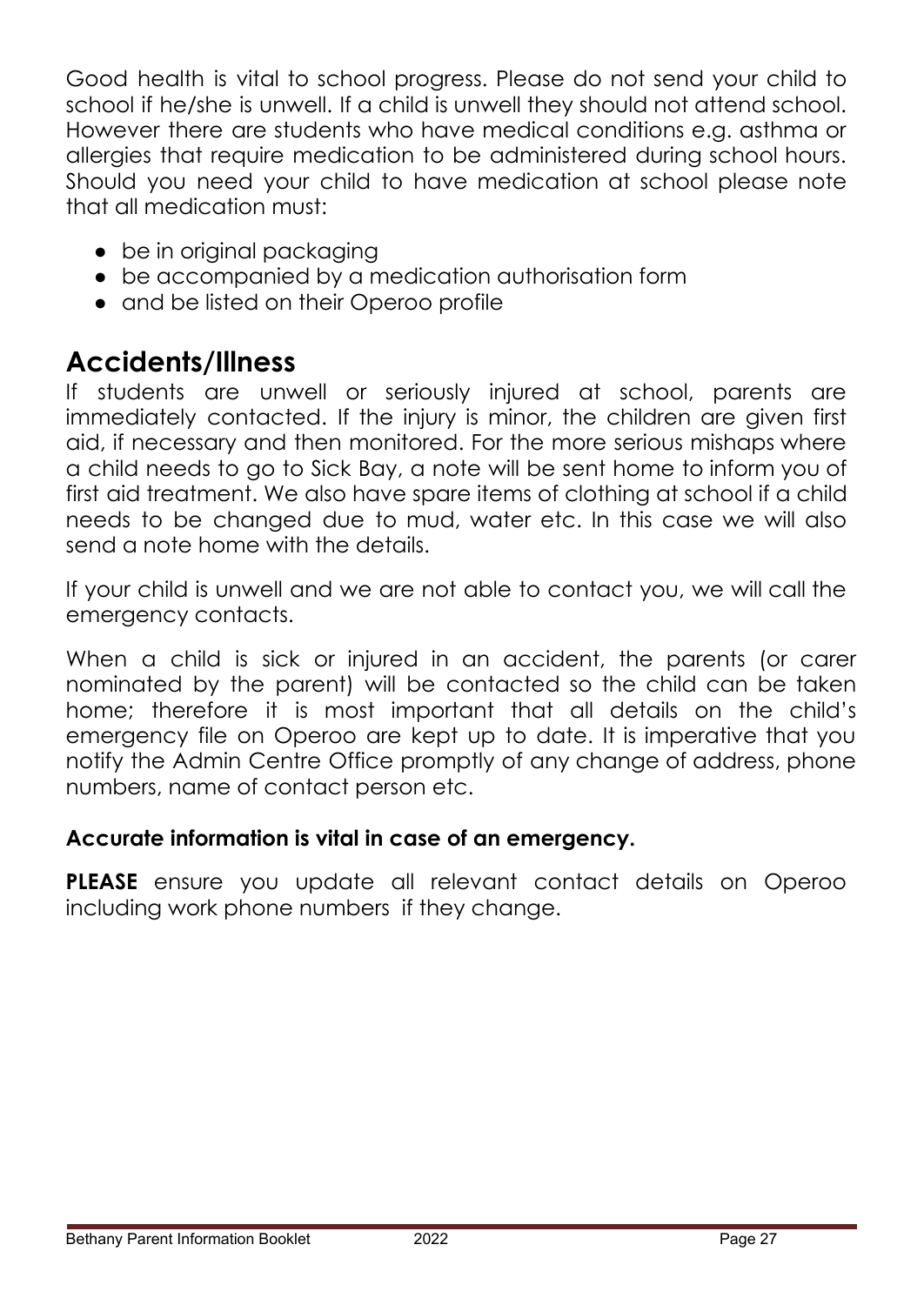Good health is vital to school progress. Please do not send your child to school if he/she is unwell. If a child is unwell they should not attend school. However there are students who have medical conditions e.g. asthma or allergies that require medication to be administered during school hours. Should you need your child to have medication at school please note that all medication must:

- be in original packaging
- be accompanied by a medication authorisation form
- and be listed on their Operoo profile

## **Accidents/Illness**

If students are unwell or seriously injured at school, parents are immediately contacted. If the injury is minor, the children are given first aid, if necessary and then monitored. For the more serious mishaps where a child needs to go to Sick Bay, a note will be sent home to inform you of first aid treatment. We also have spare items of clothing at school if a child needs to be changed due to mud, water etc. In this case we will also send a note home with the details.

If your child is unwell and we are not able to contact you, we will call the emergency contacts.

When a child is sick or injured in an accident, the parents (or carer nominated by the parent) will be contacted so the child can be taken home; therefore it is most important that all details on the child's emergency file on Operoo are kept up to date. It is imperative that you notify the Admin Centre Office promptly of any change of address, phone numbers, name of contact person etc.

### **Accurate information is vital in case of an emergency.**

**PLEASE** ensure you update all relevant contact details on Operoo including work phone numbers if they change.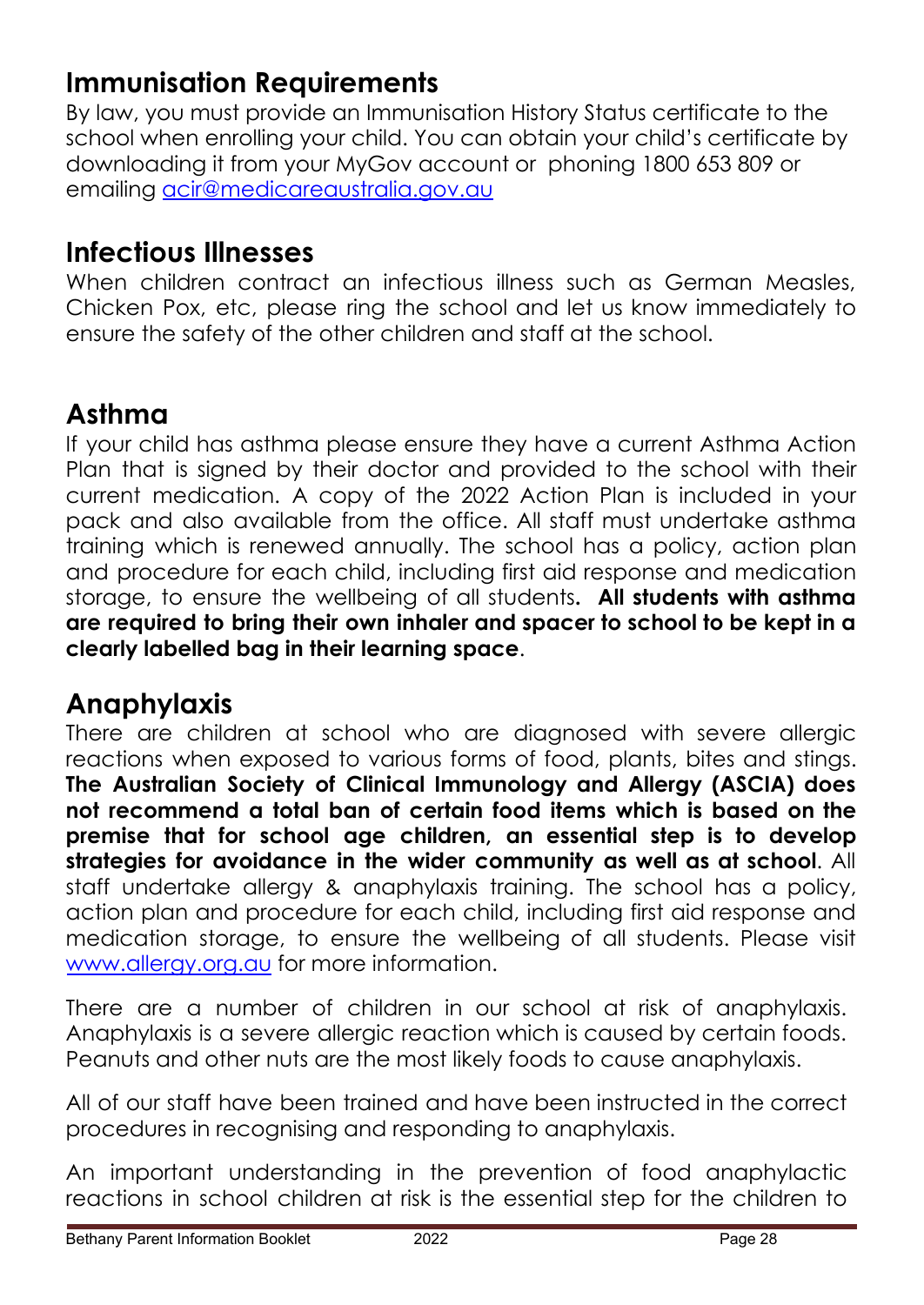## **Immunisation Requirements**

By law, you must provide an Immunisation History Status certificate to the school when enrolling your child. You can obtain your child's certificate by downloading it from your MyGov account or phoning 1800 653 809 or emailing [acir@medicareaustralia.gov.au](mailto:acir@medicareaustralia.gov.au)

## **Infectious Illnesses**

When children contract an infectious illness such as German Measles, Chicken Pox, etc, please ring the school and let us know immediately to ensure the safety of the other children and staff at the school.

## **Asthma**

If your child has asthma please ensure they have a current Asthma Action Plan that is signed by their doctor and provided to the school with their current medication. A copy of the 2022 Action Plan is included in your pack and also available from the office. All staff must undertake asthma training which is renewed annually. The school has a policy, action plan and procedure for each child, including first aid response and medication storage, to ensure the wellbeing of all students**. All students with asthma are required to bring their own inhaler and spacer to school to be kept in a clearly labelled bag in their learning space**.

## **Anaphylaxis**

There are children at school who are diagnosed with severe allergic reactions when exposed to various forms of food, plants, bites and stings. **The Australian Society of Clinical Immunology and Allergy (ASCIA) does not recommend a total ban of certain food items which is based on the premise that for school age children, an essential step is to develop strategies for avoidance in the wider community as well as at school**. All staff undertake allergy & anaphylaxis training. The school has a policy, action plan and procedure for each child, including first aid response and medication storage, to ensure the wellbeing of all students. Please visit [www.allergy.org.au](http://www.allergy.org.au) for more information.

There are a number of children in our school at risk of anaphylaxis. Anaphylaxis is a severe allergic reaction which is caused by certain foods. Peanuts and other nuts are the most likely foods to cause anaphylaxis.

All of our staff have been trained and have been instructed in the correct procedures in recognising and responding to anaphylaxis.

An important understanding in the prevention of food anaphylactic reactions in school children at risk is the essential step for the children to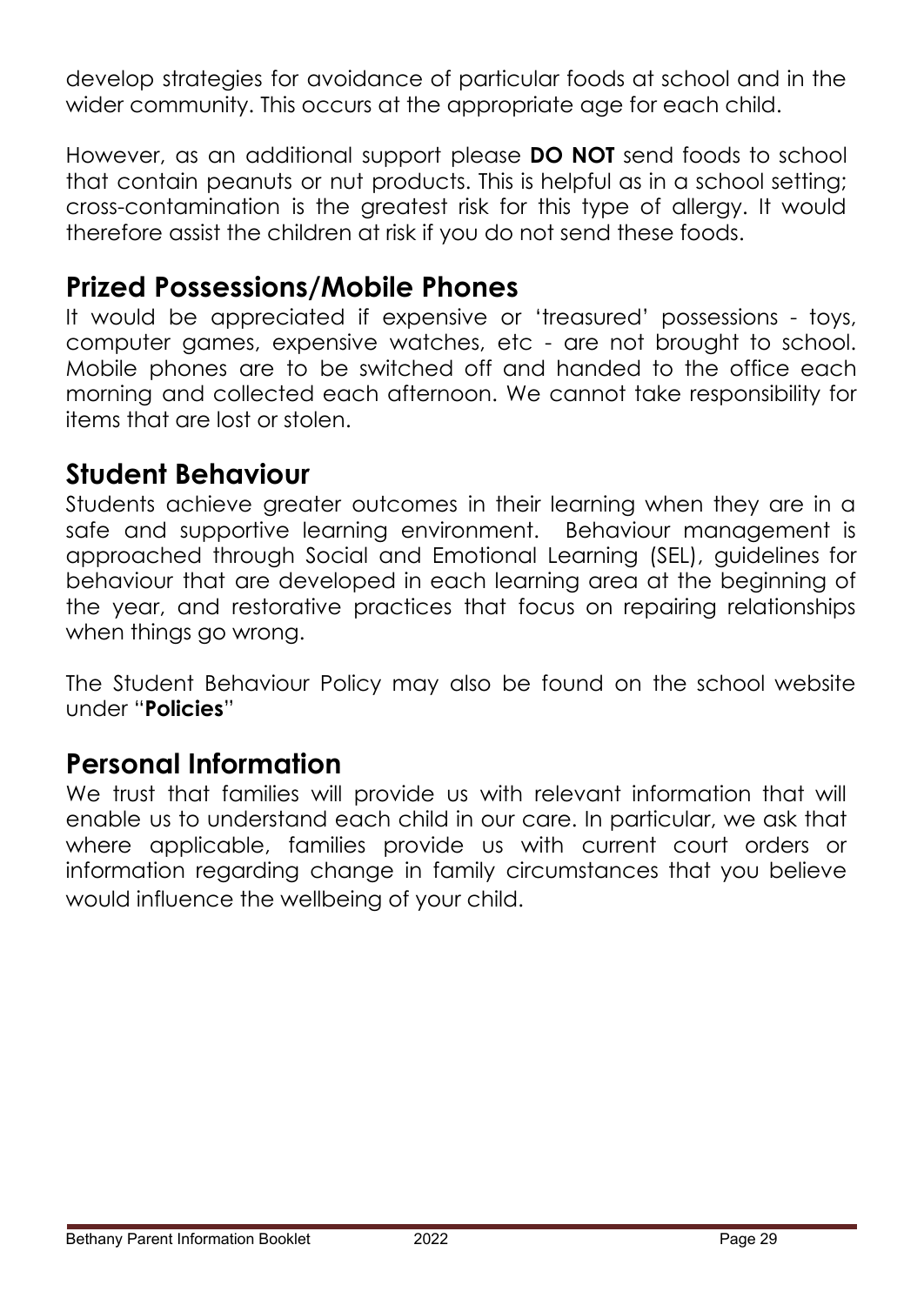develop strategies for avoidance of particular foods at school and in the wider community. This occurs at the appropriate age for each child.

However, as an additional support please **DO NOT** send foods to school that contain peanuts or nut products. This is helpful as in a school setting; cross-contamination is the greatest risk for this type of allergy. It would therefore assist the children at risk if you do not send these foods.

## **Prized Possessions/Mobile Phones**

It would be appreciated if expensive or 'treasured' possessions - toys, computer games, expensive watches, etc - are not brought to school. Mobile phones are to be switched off and handed to the office each morning and collected each afternoon. We cannot take responsibility for items that are lost or stolen.

## **Student Behaviour**

Students achieve greater outcomes in their learning when they are in a safe and supportive learning environment. Behaviour management is approached through Social and Emotional Learning (SEL), guidelines for behaviour that are developed in each learning area at the beginning of the year, and restorative practices that focus on repairing relationships when things go wrong.

The Student Behaviour Policy may also be found on the school website under "**Policies**"

## **Personal Information**

We trust that families will provide us with relevant information that will enable us to understand each child in our care. In particular, we ask that where applicable, families provide us with current court orders or information regarding change in family circumstances that you believe would influence the wellbeing of your child.